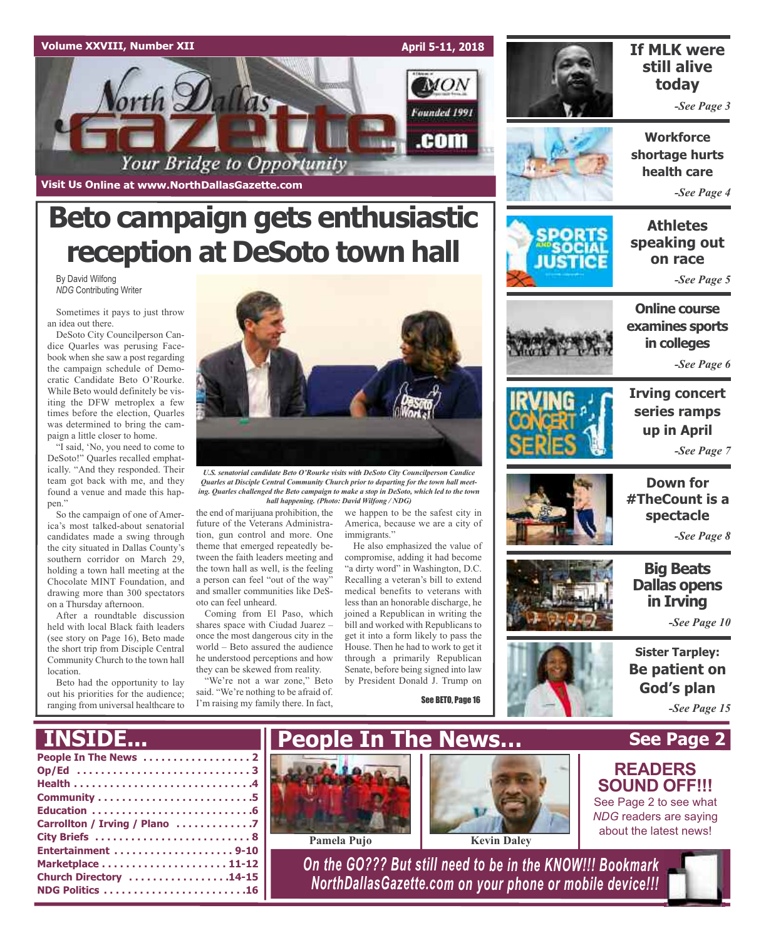

**Visit Us Online at www.NorthDallasGazette.com**

# **Beto campaign gets enthusiastic reception at DeSoto town hall**

By David Wilfong *NDG* Contributing Writer

Sometimes it pays to just throw an idea out there.

DeSoto City Councilperson Candice Quarles was perusing Facebook when she saw a post regarding the campaign schedule of Democratic Candidate Beto O'Rourke. While Beto would definitely be visiting the DFW metroplex a few times before the election, Quarles was determined to bring the campaign a little closer to home.

"I said, 'No, you need to come to DeSoto!" Quarles recalled emphatically. "And they responded. Their team got back with me, and they found a venue and made this happen."

So the campaign of one of America's most talked-about senatorial candidates made a swing through the city situated in Dallas County's southern corridor on March 29, holding a town hall meeting at the Chocolate MINT Foundation, and drawing more than 300 spectators on a Thursday afternoon.

After a roundtable discussion held with local Black faith leaders (see story on Page 16), Beto made the short trip from Disciple Central Community Church to the town hall location.

Beto had the opportunity to lay out his priorities for the audience; ranging from universal healthcare to



*U.S. senatorial candidate Beto O'Rourke visits with DeSoto City Councilperson Candice Quarles at Disciple Central Community Church prior to departing for the town hall meeting. Quarles challenged the Beto campaign to make a stop in DeSoto, which led to the town hall happening. (Photo: David Wilfong / NDG)*

future of the Veterans Administration, gun control and more. One theme that emerged repeatedly between the faith leaders meeting and the town hall as well, is the feeling a person can feel "out of the way" and smaller communities like DeSoto can feel unheard.

Coming from El Paso, which shares space with Ciudad Juarez – once the most dangerous city in the world – Beto assured the audience he understood perceptions and how they can be skewed from reality.

"We're not a war zone," Beto said. "We're nothing to be afraid of. I'm raising my family there. In fact,

the end of marijuana prohibition, the we happen to be the safest city in America, because we are a city of immigrants."

> He also emphasized the value of compromise, adding it had become "a dirty word" in Washington, D.C. Recalling a veteran's bill to extend medical benefits to veterans with less than an honorable discharge, he joined a Republican in writing the bill and worked with Republicans to get it into a form likely to pass the House. Then he had to work to get it through a primarily Republican Senate, before being signed into law by President Donald J. Trump on

> > See BETO, Page 16



## **If MLK were still alive today**

*-See Page 3*

**Workforce shortage hurts health care**

*-See Page 4*

**Athletes speaking out on race**

*-See Page 5*

**Online course examines sports in colleges**

*-See Page 6*



**Irving concert series ramps up in April** *-See Page 7*



**Down for #TheCount is a spectacle**

*-See Page 8*

**Big Beats Dallas opens in Irving**

*-See Page 10*

**Sister Tarpley: Be patient on God's plan**

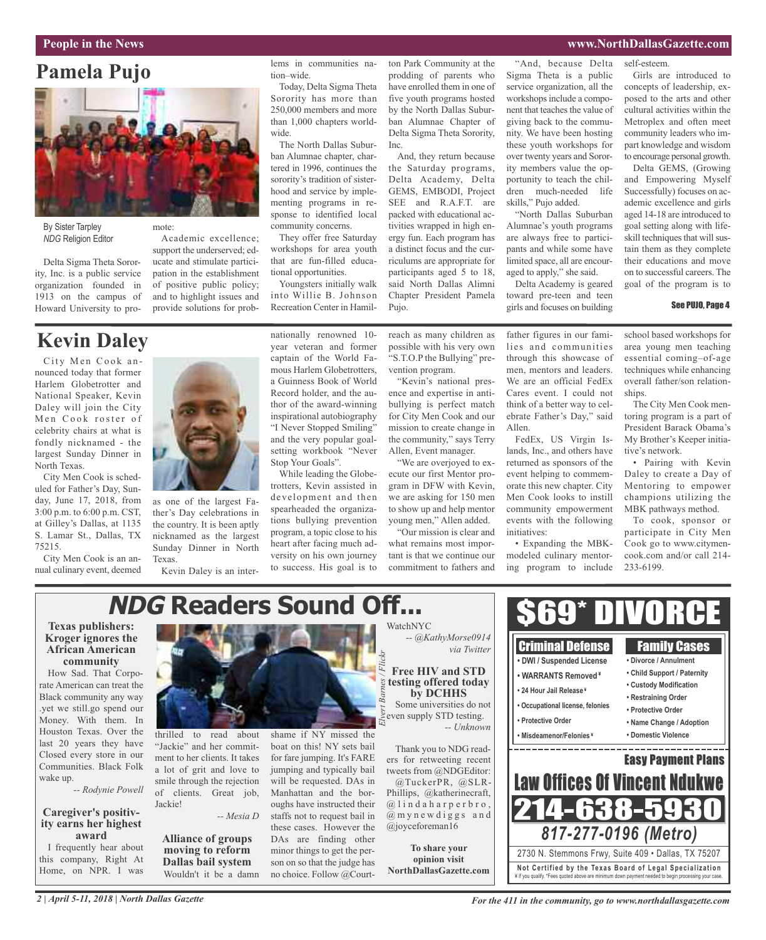## **People in the News www.NorthDallasGazette.com**

## **Pamela Pujo**



mote:

By Sister Tarpley *NDG* Religion Editor

Delta Sigma Theta Sorority, Inc. is a public service organization founded in 1913 on the campus of Howard University to pro-

### Academic excellence; support the underserved; educate and stimulate participation in the establishment of positive public policy; and to highlight issues and provide solutions for prob-

**Kevin Daley**

City Men Cook announced today that former Harlem Globetrotter and National Speaker, Kevin Daley will join the City Men Cook roster of celebrity chairs at what is fondly nicknamed - the largest Sunday Dinner in North Texas.

City Men Cook is scheduled for Father's Day, Sunday, June 17, 2018, from 3:00 p.m. to 6:00 p.m. CST, at Gilley's Dallas, at 1135 S. Lamar St., Dallas, TX 75215.

City Men Cook is an annual culinary event, deemed



as one of the largest Father's Day celebrations in the country. It is been aptly nicknamed as the largest Sunday Dinner in North Texas.

Kevin Daley is an inter-

nationally renowned 10 year veteran and former captain of the World Famous Harlem Globetrotters, a Guinness Book of World Record holder, and the author of the award-winning inspirational autobiography "I Never Stopped Smiling" and the very popular goalsetting workbook "Never Stop Your Goals".

lems in communities na-

Today, Delta Sigma Theta Sorority has more than 250,000 members and more than 1,000 chapters world-

The North Dallas Suburban Alumnae chapter, chartered in 1996, continues the sorority's tradition of sisterhood and service by implementing programs in response to identified local community concerns.

They offer free Saturday workshops for area youth that are fun-filled educa-

Youngsters initially walk into Willie B. Johnson Recreation Center in Hamil-

tional opportunities.

tion–wide.

wide.

While leading the Globetrotters, Kevin assisted in development and then spearheaded the organizations bullying prevention program, a topic close to his heart after facing much adversity on his own journey to success. His goal is to ton Park Community at the prodding of parents who have enrolled them in one of five youth programs hosted by the North Dallas Suburban Alumnae Chapter of Delta Sigma Theta Sorority, Inc.

And, they return because the Saturday programs, Delta Academy, Delta GEMS, EMBODI, Project SEE and R.A.F.T. are packed with educational activities wrapped in high energy fun. Each program has a distinct focus and the curriculums are appropriate for participants aged 5 to 18, said North Dallas Alimni Chapter President Pamela Pujo.

vention program.

for City Men Cook and our mission to create change in the community," says Terry Allen, Event manager. "We are overjoyed to execute our first Mentor program in DFW with Kevin, we are asking for 150 men to show up and help mentor young men," Allen added. "Our mission is clear and what remains most important is that we continue our commitment to fathers and

"And, because Delta Sigma Theta is a public service organization, all the workshops include a component that teaches the value of giving back to the community. We have been hosting these youth workshops for over twenty years and Sorority members value the opportunity to teach the children much-needed life skills," Pujo added.

"North Dallas Suburban Alumnae's youth programs are always free to participants and while some have limited space, all are encouraged to apply," she said.

Delta Academy is geared toward pre-teen and teen girls and focuses on building

self-esteem. Girls are introduced to concepts of leadership, exposed to the arts and other cultural activities within the Metroplex and often meet community leaders who impart knowledge and wisdom to encourage personal growth.

Delta GEMS, (Growing and Empowering Myself Successfully) focuses on academic excellence and girls aged 14-18 are introduced to goal setting along with lifeskill techniques that will sustain them as they complete their educations and move on to successful careers. The goal of the program is to

### See PUJO, Page 4

reach as many children as possible with his very own "S.T.O.P the Bullying" pre-"Kevin's national presence and expertise in antibullying is perfect match father figures in our families and communities through this showcase of men, mentors and leaders.

We are an official FedEx Cares event. I could not think of a better way to celebrate Father's Day," said Allen.

FedEx, US Virgin Islands, Inc., and others have returned as sponsors of the event helping to commemorate this new chapter. City Men Cook looks to instill community empowerment events with the following initiatives:

• Expanding the MBKmodeled culinary mentoring program to include school based workshops for area young men teaching essential coming–of-age techniques while enhancing overall father/son relationships.

The City Men Cook mentoring program is a part of President Barack Obama's My Brother's Keeper initiative's network.

• Pairing with Kevin Daley to create a Day of Mentoring to empower champions utilizing the MBK pathways method.

To cook, sponsor or participate in City Men Cook go to www.citymencook.com and/or call 214- 233-6199.

### **NDG Readers Sound Off...** \$69\* DIVORCE WatchNYC **Texas publishers: Kroger ignores the** *-- @KathyMorse0914* Criminal Defense Family Cases **African American** *via Twitter Elvert Barnes / Flickr***• DWI / Suspended License • Divorce / Annulment community Free HIV and STD • Child Support / Paternity** How Sad. That Corpo-**• WARRANTS Removed ¥ testing offered today** rate American can treat the **• Custody Modification • 24 Hour Jail Release ¥ by DCHHS** Black community any way **• Restraining Order** Some universities do not **• Occupational license, felonies** .yet we still.go spend our **• Protective Order** even supply STD testing. Money. With them. In **• Protective Order • Name Change / Adoption** *-- Unknown* Houston Texas. Over the thrilled to read about shame if NY missed the **• Misdeamenor/Felonies ¥ • Domestic Violence** last 20 years they have "Jackie" and her commitboat on this! NY sets bail Thank you to NDG read-Closed every store in our ment to her clients. It takes for fare jumping. It's FARE Easy Payment Plans ers for retweeting recent Communities. Black Folk a lot of grit and love to jumping and typically bail tweets from @NDGEditor: wake up. Law Offices Of Vincent Ndu smile through the rejection will be requested. DAs in @TuckerPR, @SLR-*-- Rodynie Powell* of clients. Great job, Manhattan and the bor-Phillips, @katherinecraft, 214-638-5930 Jackie! oughs have instructed their  $@$  lindahar perbro, **Caregiver's positiv-***-- Mesia D*  $(a)$  m y n e w d i g g s a n d staffs not to request bail in **ity earns her highest** these cases. However the @joyceforeman16 *817-277-0196 (Metro)* **award Alliance of groups** DAs are finding other I frequently hear about **To share your moving to reform** minor things to get the per-2730 N. Stemmons Frwy, Suite 409 • Dallas, TX 75207 this company, Right At **opinion visit Dallas bail system** son on so that the judge has **Not Ce rtified by the Te x a s Boa rd of Lega l Spe c ia l i za tion** Home, on NPR. I was **NorthDallasGazette.com** Wouldn't it be a damn no choice. Follow @Court-¥ If you qualify. \*Fees quoted above are minimum down payment needed to begin processing your case.

*2 | April 5-11, 2018 | North Dallas Gazette*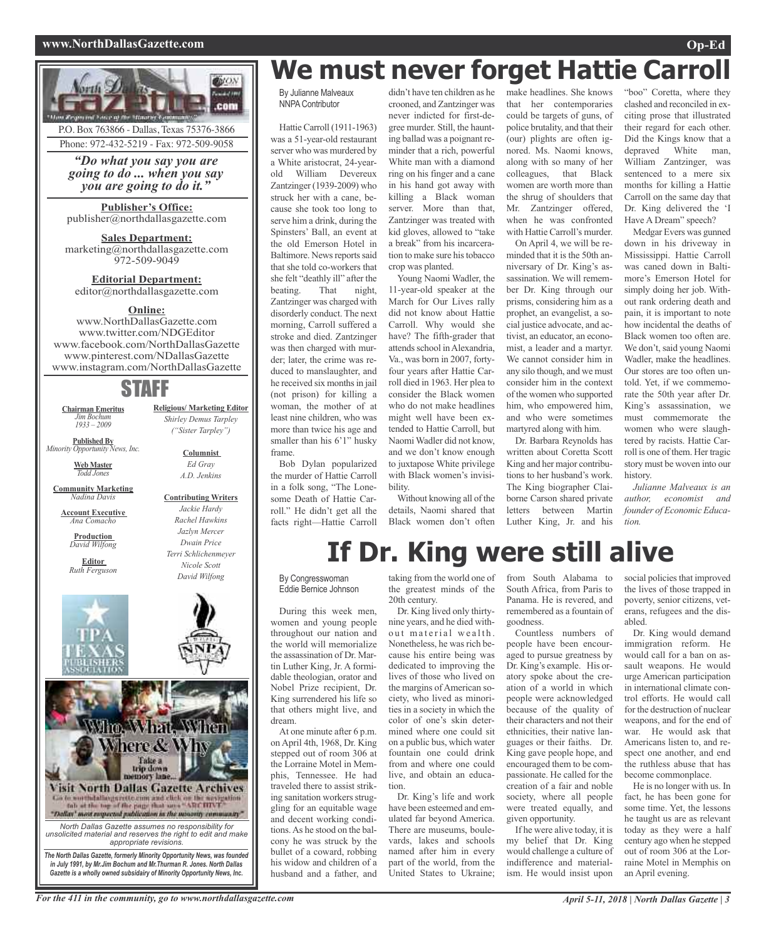### **www.NorthDallasGazette.com Op-Ed**



# **We must never forget Hattie Carroll**

By Julianne Malveaux NNPA Contributor

Hattie Carroll (1911-1963) was a 51-year-old restaurant server who was murdered by a White aristocrat, 24-yearold William Devereux Zantzinger (1939-2009) who struck her with a cane, because she took too long to serve him a drink, during the Spinsters' Ball, an event at the old Emerson Hotel in Baltimore. News reports said that she told co-workers that she felt "deathly ill" after the beating. That night, Zantzinger was charged with disorderly conduct. The next morning, Carroll suffered a stroke and died. Zantzinger was then charged with murder; later, the crime was reduced to manslaughter, and he received six months in jail (not prison) for killing a woman, the mother of at least nine children, who was more than twice his age and smaller than his 6'1" husky frame.

Bob Dylan popularized the murder of Hattie Carroll in a folk song, "The Lonesome Death of Hattie Carroll." He didn't get all the facts right—Hattie Carroll

didn't have ten children as he crooned, and Zantzinger was never indicted for first-degree murder. Still, the haunting ballad was a poignant reminder that a rich, powerful White man with a diamond ring on his finger and a cane in his hand got away with killing a Black woman server. More than that, Zantzinger was treated with kid gloves, allowed to "take a break" from his incarceration to make sure histobacco crop was planted.

Young Naomi Wadler, the 11-year-old speaker at the March for Our Lives rally did not know about Hattie Carroll. Why would she have? The fifth-grader that attends school in Alexandria, Va., was born in 2007, fortyfour years after Hattie Carroll died in 1963. Her plea to consider the Black women who do not make headlines might well have been extended to Hattie Carroll, but Naomi Wadler did not know, and we don't know enough to juxtapose White privilege with Black women's invisibility.

Without knowing all of the details, Naomi shared that Black women don't often make headlines. She knows that her contemporaries could be targets of guns, of police brutality, and that their (our) plights are often ignored. Ms. Naomi knows, along with so many of her colleagues, that Black women are worth more than the shrug of shoulders that Mr. Zantzinger offered, when he was confronted with Hattie Carroll's murder.

On April 4, we will be reminded that it is the 50th anniversary of Dr. King's assassination. We will remember Dr. King through our prisms, considering him as a prophet, an evangelist, a social justice advocate, and activist, an educator, an economist, a leader and a martyr. We cannot consider him in any silo though, and we must consider him in the context of the women who supported him, who empowered him, and who were sometimes martyred along with him.

Dr. Barbara Reynolds has written about Coretta Scott King and her major contributions to her husband's work. The King biographer Claiborne Carson shared private letters between Martin Luther King, Jr. and his

"boo" Coretta, where they clashed and reconciled in exciting prose that illustrated their regard for each other. Did the Kings know that a depraved White man, William Zantzinger, was sentenced to a mere six months for killing a Hattie Carroll on the same day that Dr. King delivered the 'I Have A Dream" speech?

Medgar Evers was gunned down in his driveway in Mississippi. Hattie Carroll was caned down in Baltimore's Emerson Hotel for simply doing her job. Without rank ordering death and pain, it is important to note how incidental the deaths of Black women too often are. We don't, said young Naomi Wadler, make the headlines. Our stores are too often untold. Yet, if we commemorate the 50th year after Dr. King's assassination, we must commemorate the women who were slaughtered by racists. Hattie Carroll is one of them. Her tragic story must be woven into our history.

*Julianne Malveaux is an author, economist and founder of Economic Education.*

# **If Dr. King were still alive**

By Congresswoman Eddie Bernice Johnson

During this week men, women and young people throughout our nation and the world will memorialize the assassination of Dr. Martin Luther King, Jr. A formidable theologian, orator and Nobel Prize recipient, Dr. King surrendered his life so that others might live, and dream.

At one minute after 6 p.m. on April 4th, 1968, Dr. King stepped out of room 306 at the Lorraine Motel in Memphis, Tennessee. He had traveled there to assist striking sanitation workers struggling for an equitable wage and decent working conditions.As he stood on the balcony he was struck by the bullet of a coward, robbing his widow and children of a husband and a father, and

taking from the world one of the greatest minds of the 20th century.

Dr. King lived only thirtynine years, and he died without material wealth. Nonetheless, he was rich because his entire being was dedicated to improving the lives of those who lived on the margins of American society, who lived as minorities in a society in which the color of one's skin determined where one could sit on a public bus, which water fountain one could drink from and where one could live, and obtain an education.

Dr. King's life and work have been esteemed and emulated far beyond America. There are museums, boulevards, lakes and schools named after him in every part of the world, from the United States to Ukraine;

from South Alabama to South Africa, from Paris to Panama. He is revered, and remembered as a fountain of goodness.

Countless numbers of people have been encouraged to pursue greatness by Dr. King's example. His oratory spoke about the creation of a world in which people were acknowledged because of the quality of their characters and not their ethnicities, their native languages or their faiths. Dr. King gave people hope, and encouraged them to be compassionate. He called for the creation of a fair and noble society, where all people were treated equally, and given opportunity.

If he were alive today, it is my belief that Dr. King would challenge a culture of indifference and materialism. He would insist upon

social policies that improved the lives of those trapped in poverty, senior citizens, veterans, refugees and the disabled.

Dr. King would demand immigration reform. He would call for a ban on assault weapons. He would urge American participation in international climate control efforts. He would call for the destruction of nuclear weapons, and for the end of war. He would ask that Americans listen to, and respect one another, and end the ruthless abuse that has become commonplace.

He is no longer with us. In fact, he has been gone for some time. Yet, the lessons he taught us are as relevant today as they were a half century ago when he stepped out of room 306 at the Lorraine Motel in Memphis on an April evening.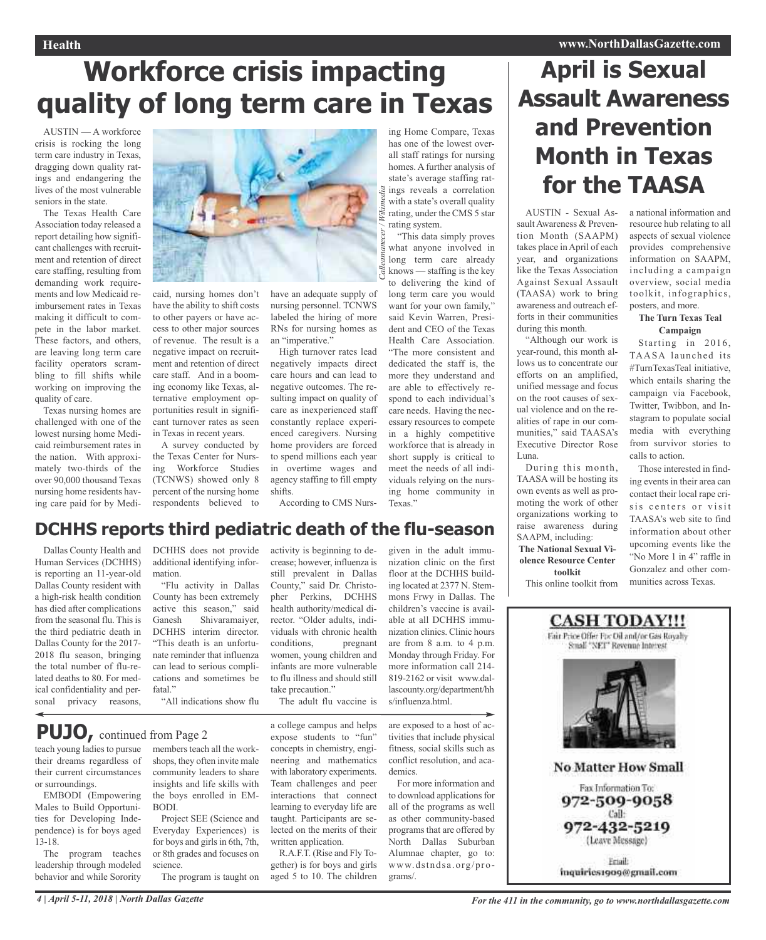**April is Sexual**

# **Workforce crisis impacting quality of long term care in Texas**

AUSTIN — A workforce crisis is rocking the long term care industry in Texas, dragging down quality ratings and endangering the lives of the most vulnerable seniors in the state.

The Texas Health Care Association today released a report detailing how significant challenges with recruitment and retention of direct care staffing, resulting from demanding work requirements and low Medicaid reimbursement rates in Texas making it difficult to compete in the labor market. These factors, and others, are leaving long term care facility operators scrambling to fill shifts while working on improving the quality of care.

Texas nursing homes are challenged with one of the lowest nursing home Medicaid reimbursement rates in the nation. With approximately two-thirds of the over 90,000 thousand Texas nursing home residents having care paid for by Medi-

Dallas County Health and Human Services (DCHHS) is reporting an 11-year-old Dallas County resident with a high-risk health condition has died after complications from the seasonal flu. This is the third pediatric death in Dallas County for the 2017- 2018 flu season, bringing the total number of flu-related deaths to 80. For medical confidentiality and personal privacy reasons,

![](_page_3_Picture_5.jpeg)

**DCHHS reports third pediatric death of the flu-season**

caid, nursing homes don't have the ability to shift costs to other payers or have access to other major sources of revenue. The result is a negative impact on recruitment and retention of direct care staff. And in a booming economy like Texas, alternative employment opportunities result in significant turnover rates as seen in Texas in recent years.

A survey conducted by the Texas Center for Nursing Workforce Studies (TCNWS) showed only 8 percent of the nursing home respondents believed to have an adequate supply of nursing personnel. TCNWS labeled the hiring of more RNs for nursing homes as an "imperative."

High turnover rates lead negatively impacts direct care hours and can lead to negative outcomes. The resulting impact on quality of care as inexperienced staff constantly replace experienced caregivers. Nursing home providers are forced to spend millions each year in overtime wages and agency staffing to fill empty shifts.

According to CMS Nurs-

activity is beginning to decrease; however, influenza is still prevalent in Dallas County," said Dr. Christopher Perkins, DCHHS health authority/medical director. "Older adults, individuals with chronic health conditions, pregnant women, young children and infants are more vulnerable to flu illness and should still

ing Home Compare, Texas has one of the lowest overall staff ratings for nursing homes. A further analysis of state's average staffing ratings reveals a correlation with a state's overall quality rating, under the CMS 5 star rating system.

"This data simply proves what anyone involved in long term care already knows — staffing is the key to delivering the kind of long term care you would want for your own family," said Kevin Warren, President and CEO of the Texas Health Care Association. "The more consistent and dedicated the staff is, the more they understand and are able to effectively respond to each individual's care needs. Having the necessary resources to compete in a highly competitive workforce that is already in short supply is critical to meet the needs of all individuals relying on the nursing home community in Texas<sup>"</sup>

## **Assault Awareness and Prevention Month in Texas for the TAASA** AUSTIN - Sexual As-

sault Awareness & Prevention Month (SAAPM) takes place in April of each year, and organizations like the Texas Association Against Sexual Assault (TAASA) work to bring awareness and outreach efforts in their communities during this month.

"Although our work is year-round, this month allows us to concentrate our efforts on an amplified, unified message and focus on the root causes of sexual violence and on the realities of rape in our communities," said TAASA's Executive Director Rose Luna.

During this month, TAASA will be hosting its own events as well as promoting the work of other organizations working to raise awareness during SAAPM, including: **The National Sexual Violence Resource Center**

**toolkit** This online toolkit from

## a national information and resource hub relating to all aspects of sexual violence provides comprehensive information on SAAPM, including a campaign overview, social media toolkit, infographics, posters, and more.

## **The Turn Texas Teal Campaign**

Starting in 2016, TAASA launched its #TurnTexasTeal initiative, which entails sharing the campaign via Facebook, Twitter, Twibbon, and Instagram to populate social media with everything from survivor stories to calls to action.

Those interested in finding events in their area can contact their local rape crisis centers or visit TAASA's web site to find information about other upcoming events like the "No More 1 in 4" raffle in Gonzalez and other communities across Texas.

![](_page_3_Picture_21.jpeg)

DCHHS does not provide additional identifying information.

"Flu activity in Dallas County has been extremely active this season," said Ganesh Shivaramaiyer, DCHHS interim director. "This death is an unfortunate reminder that influenza can lead to serious complications and sometimes be fatal<sup>"</sup>

"All indications show flu

**PUJO,** continued from Page <sup>2</sup>

teach young ladies to pursue their dreams regardless of their current circumstances or surroundings.

EMBODI (Empowering Males to Build Opportunities for Developing Independence) is for boys aged 13-18.

The program teaches leadership through modeled behavior and while Sorority

members teach all the workshops, they often invite male community leaders to share insights and life skills with the boys enrolled in EM-BODI.

Project SEE (Science and Everyday Experiences) is for boys and girls in 6th, 7th, or 8th grades and focuses on science.

The program is taught on

a college campus and helps expose students to "fun" concepts in chemistry, engineering and mathematics with laboratory experiments. Team challenges and peer interactions that connect learning to everyday life are taught. Participants are selected on the merits of their written application. The adult flu vaccine is

take precaution."

R.A.F.T. (Rise and Fly Together) is for boys and girls aged 5 to 10. The children nization clinic on the first floor at the DCHHS building located at 2377 N. Stemmons Frwy in Dallas. The children's vaccine is available at all DCHHS immunization clinics. Clinic hours are from 8 a.m. to 4 p.m. Monday through Friday. For more information call 214- 819-2162 or visit www.dallascounty.org/department/hh s/influenza.html.

given in the adult immu-

are exposed to a host of activities that include physical fitness, social skills such as conflict resolution, and academics.

For more information and to download applications for all of the programs as well as other community-based programs that are offered by North Dallas Suburban Alumnae chapter, go to: www.dstnds a .org/programs/.

4 | April 5-11, 2018 | North Dallas Gazette For the 411 in the community, go to www.northdallasgazette.com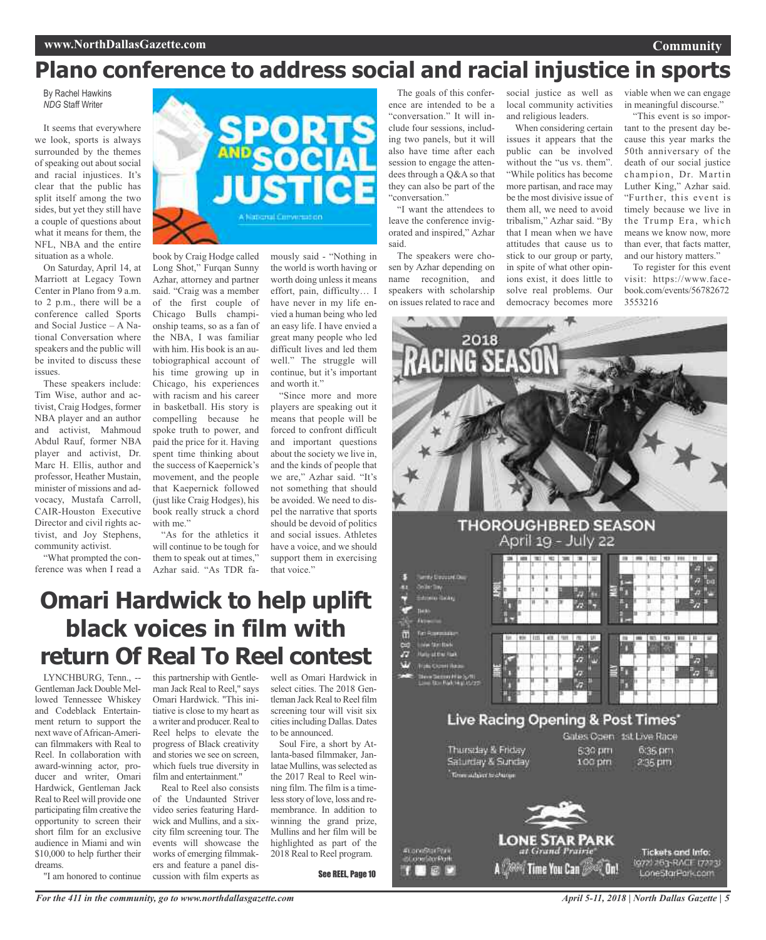## **Plano conference to address social and racial injustice in sports**

By Rachel Hawkins *NDG* Staff Writer

It seems that everywhere we look, sports is always surrounded by the themes of speaking out about social and racial injustices. It's clear that the public has split itself among the two sides, but yet they still have a couple of questions about what it means for them, the NFL, NBA and the entire situation as a whole.

On Saturday, April 14, at Marriott at Legacy Town Center in Plano from 9 a.m. to 2 p.m., there will be a conference called Sports and Social Justice – A National Conversation where speakers and the public will be invited to discuss these issues.

These speakers include: Tim Wise, author and activist, Craig Hodges, former NBA player and an author and activist, Mahmoud Abdul Rauf, former NBA player and activist, Dr. Marc H. Ellis, author and professor, Heather Mustain, minister of missions and advocacy, Mustafa Carroll, CAIR-Houston Executive Director and civil rights activist, and Joy Stephens, community activist.

"What prompted the conference was when I read a

![](_page_4_Picture_7.jpeg)

book by Craig Hodge called Long Shot," Furqan Sunny Azhar, attorney and partner said. "Craig was a member of the first couple of Chicago Bulls championship teams, so as a fan of the NBA, I was familiar with him. His book is an autobiographical account of his time growing up in Chicago, his experiences with racism and his career in basketball. His story is compelling because he spoke truth to power, and paid the price for it. Having spent time thinking about the success of Kaepernick's movement, and the people that Kaepernick followed (just like Craig Hodges), his book really struck a chord with me."

"As for the athletics it will continue to be tough for them to speak out at times," Azhar said. "As TDR fa-

mously said - "Nothing in the world is worth having or worth doing unless it means effort, pain, difficulty… I have never in my life envied a human being who led an easy life. I have envied a great many people who led difficult lives and led them well." The struggle will continue, but it's important and worth it."

"Since more and more players are speaking out it means that people will be forced to confront difficult and important questions about the society we live in, and the kinds of people that we are," Azhar said. "It's not something that should be avoided. We need to dispel the narrative that sports should be devoid of politics and social issues. Athletes have a voice, and we should support them in exercising that voice."

The goals of this conference are intended to be a "conversation." It will include four sessions, including two panels, but it will also have time after each session to engage the attendees through a Q&A so that they can also be part of the "conversation."

"I want the attendees to leave the conference invigorated and inspired," Azhar said.

The speakers were chosen by Azhar depending on name recognition, and speakers with scholarship on issues related to race and

social justice as well as local community activities and religious leaders.

When considering certain issues it appears that the public can be involved without the "us vs. them". "While politics has become more partisan, and race may be the most divisive issue of them all, we need to avoid tribalism," Azhar said. "By that I mean when we have attitudes that cause us to stick to our group or party, in spite of what other opinions exist, it does little to solve real problems. Our democracy becomes more viable when we can engage in meaningful discourse."

**Community**

"This event is so important to the present day because this year marks the 50th anniversary of the death of our social justice champion, Dr. Martin Luther King," Azhar said. "Further, this event is timely because we live in the Trump Era, which means we know now, more than ever, that facts matter, and our history matters."

To register for this event visit: https://www.facebook.com/events/56782672 3553216

![](_page_4_Picture_20.jpeg)

![](_page_4_Figure_21.jpeg)

A *(2008)* Time You Can *(2009*) On!

**Omari Hardwick to help uplift black voices in film with return Of Real To Reel contest**

LYNCHBURG, Tenn., -- Gentleman Jack Double Mellowed Tennessee Whiskey and Codeblack Entertainment return to support the next wave ofAfrican-American filmmakers with Real to Reel. In collaboration with award-winning actor, producer and writer, Omari Hardwick, Gentleman Jack Real to Reel will provide one participating film creative the opportunity to screen their short film for an exclusive audience in Miami and win \$10,000 to help further their dreams.

"I am honored to continue

this partnership with Gentleman Jack Real to Reel," says Omari Hardwick. "This initiative is close to my heart as a writer and producer. Real to Reel helps to elevate the progress of Black creativity and stories we see on screen, which fuels true diversity in film and entertainment."

Real to Reel also consists of the Undaunted Striver video series featuring Hardwick and Mullins, and a sixcity film screening tour. The events will showcase the works of emerging filmmakers and feature a panel discussion with film experts as

well as Omari Hardwick in select cities. The 2018 Gentleman Jack Real to Reel film screening tour will visit six cities including Dallas. Dates to be announced.

Soul Fire, a short by Atlanta-based filmmaker, Janlatae Mullins, was selected as the 2017 Real to Reel winning film. The film is a timeless story of love, loss and remembrance. In addition to winning the grand prize, Mullins and her film will be highlighted as part of the 2018 Real to Reel program.

See REEL, Page 10

E

972 763-RACT 172231

LoneStarPark.com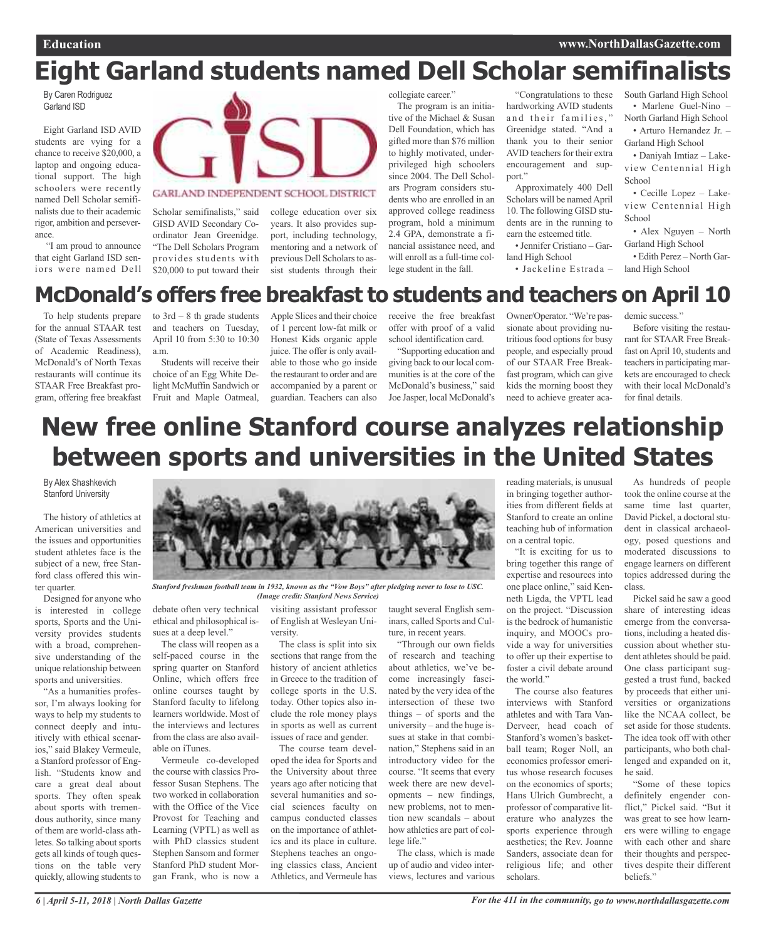# **Eight Garland students named Dell Scholar semifinalists**

By Caren Rodriguez Garland ISD

Eight Garland ISD AVID students are vying for a chance to receive \$20,000, a laptop and ongoing educational support. The high schoolers were recently named Dell Scholar semifinalists due to their academic rigor, ambition and perseverance.

"I am proud to announce that eight Garland ISD seniors were named Dell

![](_page_5_Picture_6.jpeg)

GARLAND INDEPENDENT SCHOOL DISTRICT

Scholar semifinalists," said GISD AVID Secondary Coordinator Jean Greenidge. "The Dell Scholars Program provides students with \$20,000 to put toward their

college education over six years. It also provides support, including technology, mentoring and a network of previous Dell Scholars to assist students through their

collegiate career."

The program is an initiative of the Michael & Susan Dell Foundation, which has gifted more than \$76 million to highly motivated, underprivileged high schoolers since 2004. The Dell Scholars Program considers students who are enrolled in an approved college readiness program, hold a minimum 2.4 GPA, demonstrate a financial assistance need, and will enroll as a full-time college student in the fall.

"Congratulations to these hardworking AVID students and their families," Greenidge stated. "And a thank you to their senior AVID teachers for their extra encouragement and support."

Approximately 400 Dell Scholars will be named April 10. The following GISD students are in the running to earn the esteemed title.

• Jennifer Cristiano – Garland High School

• Jackeline Estrada –

South Garland High School • Marlene Guel-Nino – North Garland High School

• Arturo Hernandez Jr. – Garland High School

• Daniyah Imtiaz – Lakeview Centennial High School

• Cecille Lopez – Lakeview Centennial High **School** 

• Alex Nguyen – North Garland High School

• Edith Perez – North Garland High School

## **McDonald's offers free breakfast to students and teachers on April 10**

To help students prepare for the annual STAAR test (State of Texas Assessments of Academic Readiness), McDonald's of North Texas restaurants will continue its STAAR Free Breakfast program, offering free breakfast to  $3rd - 8$  th grade students and teachers on Tuesday, April 10 from 5:30 to 10:30 a.m.

Students will receive their choice of an Egg White Delight McMuffin Sandwich or Fruit and Maple Oatmeal,

Apple Slices and their choice of 1 percent low-fat milk or Honest Kids organic apple juice. The offer is only available to those who go inside the restaurant to order and are accompanied by a parent or guardian. Teachers can also

receive the free breakfast offer with proof of a valid school identification card.

"Supporting education and giving back to our local communities is at the core of the McDonald's business," said Joe Jasper, local McDonald's Owner/Operator. "We're passionate about providing nutritious food options for busy people, and especially proud of our STAAR Free Breakfast program, which can give kids the morning boost they need to achieve greater academic success.'

Before visiting the restaurant for STAAR Free Breakfast on April 10, students and teachers in participating markets are encouraged to check with their local McDonald's for final details.

## **New free online Stanford course analyzes relationship between sports and universities in the United States**

By Alex Shashkevich Stanford University

The history of athletics at American universities and the issues and opportunities student athletes face is the subject of a new, free Stanford class offered this winter quarter.

Designed for anyone who is interested in college sports, Sports and the University provides students with a broad, comprehensive understanding of the unique relationship between sports and universities.

"As a humanities professor, I'm always looking for ways to help my students to connect deeply and intuitively with ethical scenarios," said Blakey Vermeule, a Stanford professor of English. "Students know and care a great deal about sports. They often speak about sports with tremendous authority, since many of them are world-class athletes. So talking about sports gets all kinds of tough questions on the table very quickly, allowing students to

![](_page_5_Picture_37.jpeg)

Stanford freshman football team in 1932, known as the "Vow Boys" after pledging never to lose to USC. *(Image credit: Stanford News Service)*

debate often very technical ethical and philosophical is-

sues at a deep level." The class will reopen as a self-paced course in the spring quarter on Stanford Online, which offers free online courses taught by Stanford faculty to lifelong learners worldwide. Most of the interviews and lectures from the class are also available on iTunes.

Vermeule co-developed the course with classics Professor Susan Stephens. The two worked in collaboration with the Office of the Vice Provost for Teaching and Learning (VPTL) as well as with PhD classics student Stephen Sansom and former Stanford PhD student Morgan Frank, who is now a

visiting assistant professor of English at Wesleyan University.

The class is split into six sections that range from the history of ancient athletics in Greece to the tradition of college sports in the U.S. today. Other topics also include the role money plays in sports as well as current issues of race and gender.

The course team developed the idea for Sports and the University about three years ago after noticing that several humanities and social sciences faculty on campus conducted classes on the importance of athletics and its place in culture. Stephens teaches an ongoing classics class, Ancient Athletics, and Vermeule has

taught several English seminars, called Sports and Culture, in recent years.

"Through our own fields of research and teaching about athletics, we've become increasingly fascinated by the very idea of the intersection of these two things – of sports and the university – and the huge issues at stake in that combination," Stephens said in an introductory video for the course. "It seems that every week there are new developments – new findings, new problems, not to mention new scandals – about how athletics are part of college life."

The class, which is made up of audio and video interviews, lectures and various

reading materials, is unusual in bringing together authorities from different fields at Stanford to create an online teaching hub of information on a central topic.

"It is exciting for us to bring together this range of expertise and resources into one place online," said Kenneth Ligda, the VPTL lead on the project. "Discussion is the bedrock of humanistic inquiry, and MOOCs provide a way for universities to offer up their expertise to foster a civil debate around the world."

The course also features interviews with Stanford athletes and with Tara Van-Derveer, head coach of Stanford's women's basketball team; Roger Noll, an economics professor emeritus whose research focuses on the economics of sports; Hans Ulrich Gumbrecht, a professor of comparative literature who analyzes the sports experience through aesthetics; the Rev. Joanne Sanders, associate dean for religious life; and other scholars.

As hundreds of people took the online course at the same time last quarter, David Pickel, a doctoral student in classical archaeology, posed questions and moderated discussions to engage learners on different topics addressed during the class.

Pickel said he saw a good share of interesting ideas emerge from the conversations, including a heated discussion about whether student athletes should be paid. One class participant suggested a trust fund, backed by proceeds that either universities or organizations like the NCAA collect, be set aside for those students. The idea took off with other participants, who both challenged and expanded on it, he said.

"Some of these topics definitely engender conflict," Pickel said. "But it was great to see how learners were willing to engage with each other and share their thoughts and perspectives despite their different beliefs."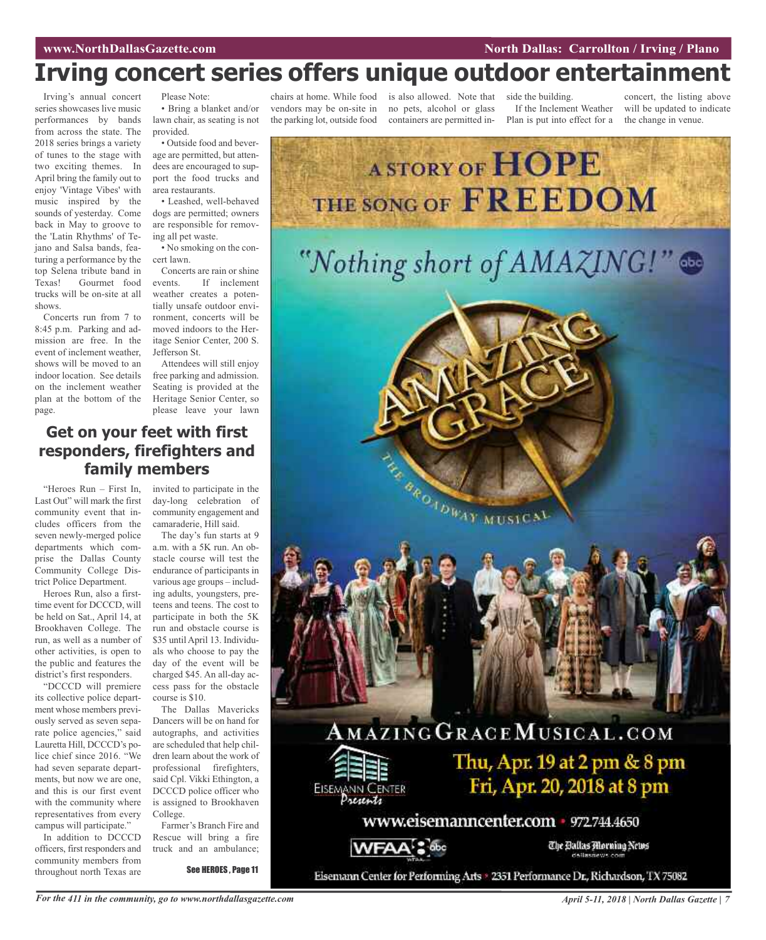# **Irving concert series offers unique outdoor entertainment**

Irving's annual concert series showcases live music performances by bands from across the state. The 2018 series brings a variety of tunes to the stage with two exciting themes. In April bring the family out to enjoy 'Vintage Vibes' with music inspired by the sounds of yesterday. Come back in May to groove to the 'Latin Rhythms' of Tejano and Salsa bands, featuring a performance by the top Selena tribute band in Texas! Gourmet food trucks will be on-site at all shows.

Concerts run from 7 to 8:45 p.m. Parking and admission are free. In the event of inclement weather, shows will be moved to an indoor location. See details on the inclement weather plan at the bottom of the page.

Please Note: • Bring a blanket and/or lawn chair, as seating is not

provided. • Outside food and beverage are permitted, but attendees are encouraged to support the food trucks and

area restaurants. • Leashed, well-behaved dogs are permitted; owners are responsible for removing all pet waste.

• No smoking on the concert lawn.

Concerts are rain or shine events. If inclement weather creates a potentially unsafe outdoor environment, concerts will be moved indoors to the Heritage Senior Center, 200 S. Jefferson St.

Attendees will still enjoy free parking and admission. Seating is provided at the Heritage Senior Center, so please leave your lawn

## **Get on your feet with first responders, firefighters and family members**

"Heroes Run – First In, Last Out" will mark the first community event that includes officers from the seven newly-merged police departments which comprise the Dallas County Community College District Police Department.

Heroes Run, also a firsttime event for DCCCD, will be held on Sat., April 14, at Brookhaven College. The run, as well as a number of other activities, is open to the public and features the district's first responders.

"DCCCD will premiere its collective police department whose members previously served as seven separate police agencies," said Lauretta Hill, DCCCD's police chief since 2016. "We had seven separate departments, but now we are one, and this is our first event with the community where representatives from every campus will participate."

In addition to DCCCD officers, first responders and community members from throughout north Texas are

invited to participate in the day-long celebration of community engagement and camaraderie, Hill said.

The day's fun starts at 9 a.m. with a 5K run. An obstacle course will test the endurance of participants in various age groups – including adults, youngsters, preteens and teens. The cost to participate in both the 5K run and obstacle course is \$35 until April 13. Individuals who choose to pay the day of the event will be charged \$45. An all-day access pass for the obstacle course is \$10.

The Dallas Mavericks Dancers will be on hand for autographs, and activities are scheduled that help children learn about the work of professional firefighters, said Cpl. Vikki Ethington, a DCCCD police officer who is assigned to Brookhaven College.

Farmer's Branch Fire and Rescue will bring a fire truck and an ambulance;

See HEROES , Page 11

vendors may be on-site in the parking lot, outside food

chairs at home. While food is also allowed. Note that no pets, alcohol or glass containers are permitted in-

side the building. If the Inclement Weather Plan is put into effect for a

concert, the listing above will be updated to indicate the change in venue.

![](_page_6_Picture_25.jpeg)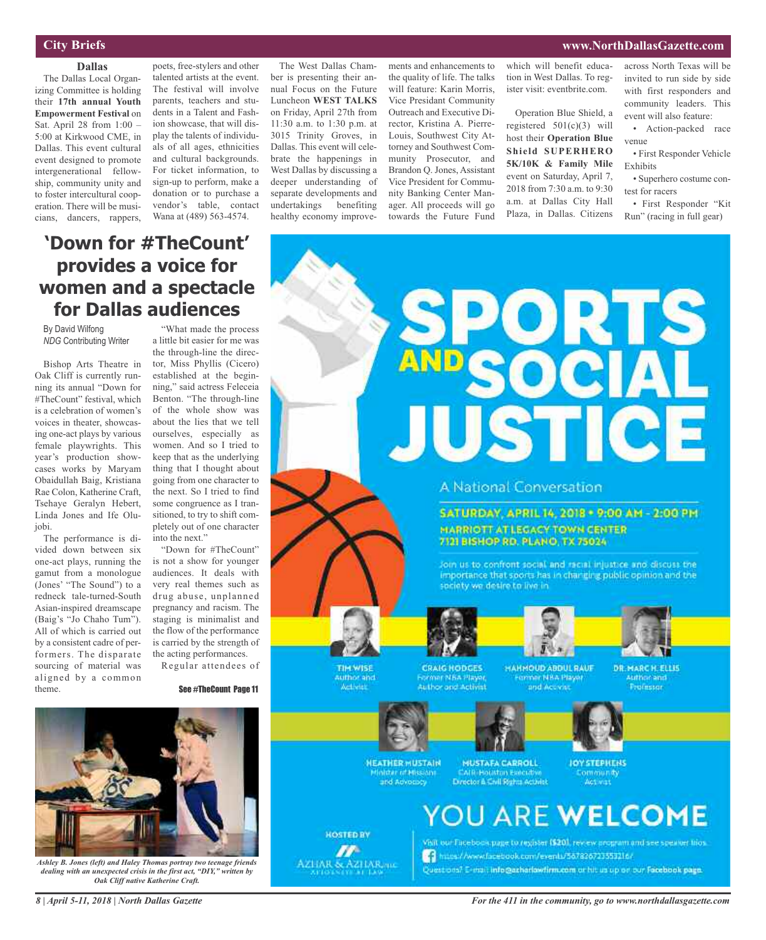## **City Briefs**

**Dallas** The Dallas Local Organizing Committee is holding their **17th annual Youth Empowerment Festival** on Sat. April 28 from 1:00 – 5:00 at Kirkwood CME, in Dallas. This event cultural event designed to promote intergenerational fellowship, community unity and to foster intercultural cooperation. There will be musicians, dancers, rappers,

poets, free-stylers and other talented artists at the event. The festival will involve parents, teachers and students in a Talent and Fashion showcase, that will display the talents of individuals of all ages, ethnicities and cultural backgrounds. For ticket information, to sign-up to perform, make a donation or to purchase a vendor's table, contact Wana at (489) 563-4574.

The West Dallas Chamber is presenting their annual Focus on the Future Luncheon **WEST TALKS** on Friday, April 27th from 11:30 a.m. to 1:30 p.m. at 3015 Trinity Groves, in Dallas. This event will celebrate the happenings in West Dallas by discussing a deeper understanding of separate developments and undertakings benefiting healthy economy improve-

ments and enhancements to the quality of life. The talks will feature: Karin Morris, Vice Presidant Community Outreach and Executive Director, Kristina A. Pierre-Louis, Southwest City Attorney and Southwest Community Prosecutor, and Brandon Q. Jones, Assistant Vice President for Community Banking Center Manager. All proceeds will go towards the Future Fund

which will benefit education in West Dallas. To register visit: eventbrite.com.

Operation Blue Shield, a registered  $501(c)(3)$  will host their **Operation Blue Shield SUPERHERO 5K/10K & Family Mile** event on Saturday, April 7, 2018 from 7:30 a.m. to 9:30 a.m. at Dallas City Hall Plaza, in Dallas. Citizens across North Texas will be invited to run side by side with first responders and community leaders. This event will also feature:

• Action-packed race venue

• First Responder Vehicle Exhibits

• Superhero costume contest for racers

• First Responder "Kit Run" (racing in full gear)

## **'Down for #TheCount' provides a voice for women and a spectacle for Dallas audiences**

By David Wilfong *NDG* Contributing Writer

Bishop Arts Theatre in Oak Cliff is currently running its annual "Down for #TheCount" festival, which is a celebration of women's voices in theater, showcasing one-act plays by various female playwrights. This year's production showcases works by Maryam Obaidullah Baig, Kristiana Rae Colon, Katherine Craft, Tsehaye Geralyn Hebert, Linda Jones and Ife Olujobi.

The performance is divided down between six one-act plays, running the gamut from a monologue (Jones' "The Sound") to a redneck tale-turned-South Asian-inspired dreamscape (Baig's "Jo Chaho Tum"). All of which is carried out by a consistent cadre of performers. The disparate sourcing of material was aligned by a common theme.

"What made the process a little bit easier for me was the through-line the director, Miss Phyllis (Cicero) established at the beginning," said actress Feleceia Benton. "The through-line of the whole show was about the lies that we tell ourselves, especially as women. And so I tried to keep that as the underlying thing that I thought about going from one character to the next. So I tried to find some congruence as I transitioned, to try to shift completely out of one character into the next."

"Down for #TheCount" is not a show for younger audiences. It deals with very real themes such as drug abuse, unplanned pregnancy and racism. The staging is minimalist and the flow of the performance is carried by the strength of the acting performances.

Regular attendees of

### See #TheCount Page 11

![](_page_7_Picture_21.jpeg)

**CRAIG HODGES** ormer NBA Player Author and Activist **HAHMOUD ABDUL RAUF** Former NBA Player<br>and Accions

**DR. MARCH. ELLIS Authoriand** Professor

![](_page_7_Picture_25.jpeg)

TIM WISE

**Author** and

Activity

**HOSTED BY** 

m

AZHAR & AZHAR me

**NEATHER MUSTAIN** nister of Mission and Advocacy

**MUSTAFA CARROLL** Director & Civil Rights Activist **JOY STEPHENS** Act vist

![](_page_7_Picture_29.jpeg)

VBIL our Facebook page to register (\$201, review program and see speaker biosto https://www.facebook.com/evenis/567826723553216/ Questions? E-mail info@azharlowfirm.com or hit us up on our Facebook page.

![](_page_7_Picture_31.jpeg)

*Ashley B. Jones (left) and Haley Thomas portray two teenage friends dealing with an unexpected crisis in the first act, "DIY," written by Oak Cliff native Katherine Craft.*

*For the 411 in the community, go to www.northdallasgazette.com*

## **www.NorthDallasGazette.com**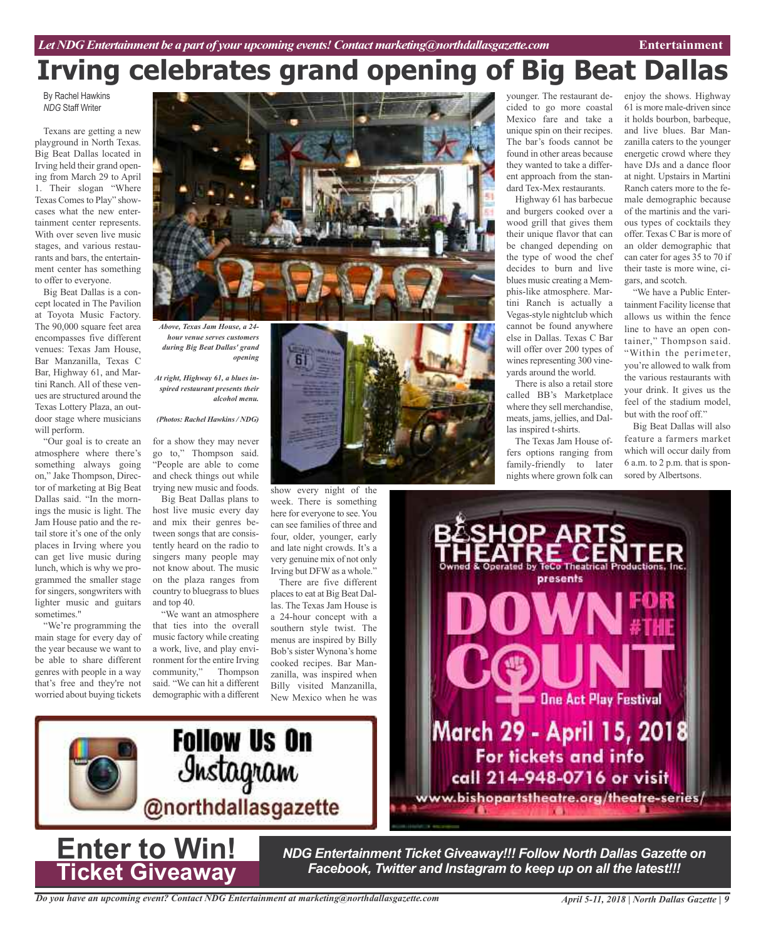# **Irving celebrates grand opening of Big Beat Dallas**

By Rachel Hawkins *NDG* Staff Writer

Texans are getting a new playground in North Texas. Big Beat Dallas located in Irving held their grand opening from March 29 to April 1. Their slogan "Where Texas Comes to Play" showcases what the new entertainment center represents. With over seven live music stages, and various restaurants and bars, the entertainment center has something to offer to everyone.

Big Beat Dallas is a concept located in The Pavilion at Toyota Music Factory. The 90,000 square feet area encompasses five different venues: Texas Jam House, Bar Manzanilla, Texas C Bar, Highway 61, and Martini Ranch. All of these venues are structured around the Texas Lottery Plaza, an outdoor stage where musicians will perform.

"Our goal is to create an atmosphere where there's something always going on," Jake Thompson, Director of marketing at Big Beat Dallas said. "In the mornings the music is light. The Jam House patio and the retail store it's one of the only places in Irving where you can get live music during lunch, which is why we programmed the smaller stage for singers, songwriters with lighter music and guitars sometimes."

"We're programming the main stage for every day of the year because we want to be able to share different genres with people in a way that's free and they're not worried about buying tickets

![](_page_8_Picture_8.jpeg)

*Above, Texas Jam House, a 24 hour venue serves customers during Big Beat Dallas' grand opening*

*At right, Highway 61, a blues inspired restaurant presents their alcohol menu.*

### *(Photos: Rachel Hawkins / NDG)*

for a show they may never go to," Thompson said. "People are able to come and check things out while trying new music and foods.

Big Beat Dallas plans to host live music every day and mix their genres between songs that are consistently heard on the radio to singers many people may not know about. The music on the plaza ranges from country to bluegrass to blues and top 40.

"We want an atmosphere that ties into the overall music factory while creating a work, live, and play environment for the entire Irving<br>community," Thompson community," said. "We can hit a different demographic with a different

![](_page_8_Picture_15.jpeg)

show every night of the week. There is something here for everyone to see. You can see families of three and four, older, younger, early and late night crowds. It's a very genuine mix of not only Irving but DFW as a whole."

There are five different places to eat at Big Beat Dallas. The Texas Jam House is a 24-hour concept with a southern style twist. The menus are inspired by Billy Bob's sister Wynona's home cooked recipes. Bar Manzanilla, was inspired when Billy visited Manzanilla, New Mexico when he was younger. The restaurant decided to go more coastal Mexico fare and take a unique spin on their recipes. The bar's foods cannot be found in other areas because they wanted to take a different approach from the standard Tex-Mex restaurants.

Highway 61 has barbecue and burgers cooked over a wood grill that gives them their unique flavor that can be changed depending on the type of wood the chef decides to burn and live blues music creating a Memphis-like atmosphere. Martini Ranch is actually a Vegas-style nightclub which cannot be found anywhere else in Dallas. Texas C Bar will offer over 200 types of wines representing 300 vineyards around the world.

There is also a retail store called BB's Marketplace where they sell merchandise, meats, jams, jellies, and Dallas inspired t-shirts.

The Texas Jam House offers options ranging from family-friendly to later nights where grown folk can

enjoy the shows. Highway 61 is more male-driven since it holds bourbon, barbeque, and live blues. Bar Manzanilla caters to the younger energetic crowd where they have DJs and a dance floor at night. Upstairs in Martini Ranch caters more to the female demographic because of the martinis and the various types of cocktails they offer. Texas C Bar is more of an older demographic that can cater for ages 35 to 70 if their taste is more wine, cigars, and scotch.

"We have a Public Entertainment Facility license that allows us within the fence line to have an open container," Thompson said. "Within the perimeter, you're allowed to walk from the various restaurants with your drink. It gives us the feel of the stadium model, but with the roof off."

Big Beat Dallas will also feature a farmers market which will occur daily from 6 a.m. to 2 p.m. that is sponsored by Albertsons.

![](_page_8_Picture_25.jpeg)

![](_page_8_Picture_26.jpeg)

**Enter to Win!**

**Ticket Giveaway**

*NDG Entertainment Ticket Giveaway!!! Follow North Dallas Gazette on Facebook, Twitter and Instagram to keep up on all the latest!!!*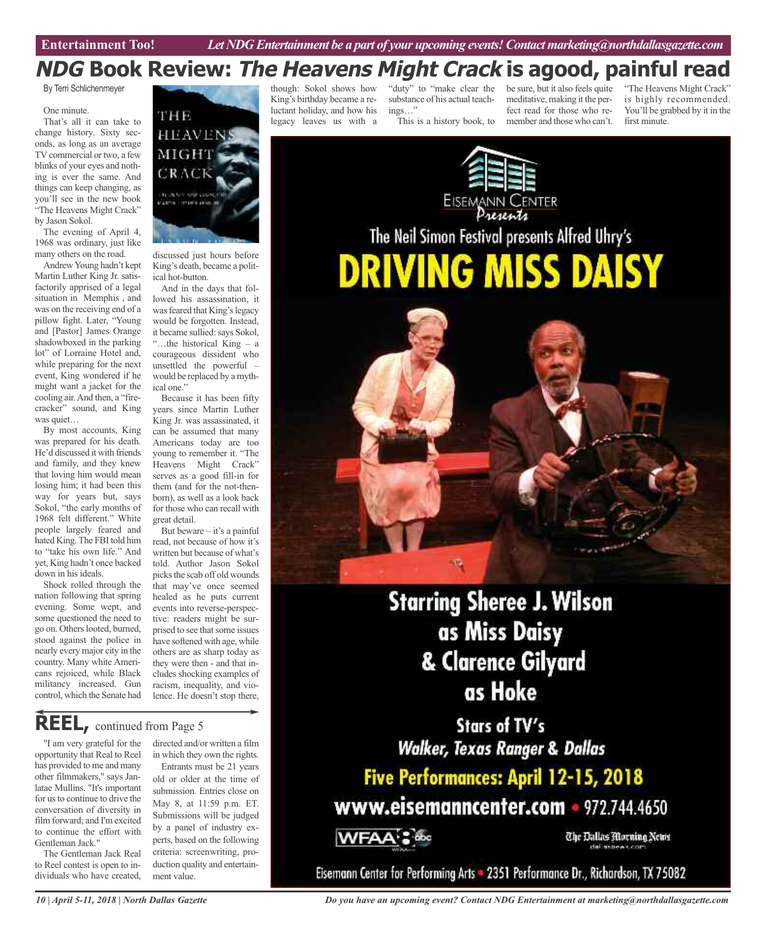## **NDG Book Review: The Heavens Might Crack is agood, painful read**

By Terri Schlichenmeyer

### One minute.

That's all it can take to change history. Sixty seconds, as long as an average TV commercial or two, a few blinks of your eyes and nothing is ever the same. And things can keep changing, as you'll see in the new book "The Heavens Might Crack" by Jason Sokol.

The evening of April 4, 1968 was ordinary, just like many others on the road.

AndrewYoung hadn't kept Martin Luther King Jr. satisfactorily apprised of a legal situation in Memphis , and was on the receiving end of a pillow fight. Later, "Young and [Pastor] James Orange shadowboxed in the parking lot" of Lorraine Hotel and, while preparing for the next event, King wondered if he might want a jacket for the cooling air.And then, a "firecracker" sound, and King was quiet…

By most accounts, King was prepared for his death. He'd discussed it with friends and family, and they knew that loving him would mean losing him; it had been this way for years but, says Sokol, "the early months of 1968 felt different." White people largely feared and hated King. The FBI told him to "take his own life." And yet, King hadn't once backed down in his ideals.

Shock rolled through the nation following that spring evening. Some wept, and some questioned the need to go on. Others looted, burned, stood against the police in nearly every major city in the country. Many white Americans rejoiced, while Black militancy increased. Gun control, which the Senate had

![](_page_9_Picture_10.jpeg)

discussed just hours before King's death, became a political hot-button.

And in the days that followed his assassination, it was feared that King's legacy would be forgotten. Instead, it became sullied: says Sokol, "…the historical King – a courageous dissident who unsettled the powerful – would be replaced by a mythical one."

Because it has been fifty years since Martin Luther King Jr. was assassinated, it can be assumed that many Americans today are too young to remember it. "The Heavens Might Crack" serves as a good fill-in for them (and for the not-thenborn), as well as a look back for those who can recall with great detail.

But beware – it's a painful read, not because of how it's written but because of what's told. Author Jason Sokol picks the scab off old wounds that may've once seemed healed as he puts current events into reverse-perspective: readers might be surprised to see that some issues have softened with age, while others are as sharp today as they were then - and that includes shocking examples of racism, inequality, and violence. He doesn't stop there,

**REEL,** continued from Page <sup>5</sup>

"I am very grateful for the opportunity that Real to Reel has provided to me and many other filmmakers," says Janlatae Mullins. "It's important for us to continue to drive the conversation of diversity in film forward; and I'm excited to continue the effort with Gentleman Jack."

The Gentleman Jack Real to Reel contest is open to individuals who have created, directed and/or written a film in which they own the rights.

Entrants must be 21 years old or older at the time of submission. Entries close on May 8, at 11:59 p.m. ET. Submissions will be judged by a panel of industry experts, based on the following criteria: screenwriting, production quality and entertainment value.

though: Sokol shows how King's birthday became a reluctant holiday, and how his legacy leaves us with a

"duty" to "make clear the substance of his actual teachings…" This is a history book, to

be sure, but it also feels quite meditative, making it the perfect read for those who remember and those who can't.

"The Heavens Might Crack" is highly recommended. You'll be grabbed by it in the first minute.

![](_page_9_Picture_24.jpeg)

The Neil Simon Festival presents Alfred Uhry's **DRIVING MISS DAISY** 

![](_page_9_Picture_26.jpeg)

**Starring Sheree J. Wilson** as Miss Daisy & Clarence Gilyard as Hoke

Stars of TV's **Walker, Texas Ranger & Dallas** 

Five Performances: April 12-15, 2018 www.eisemanncenter.com - 972.744.4650

**WFAA's doc** 

The Dallas Morning News

Eisemann Center for Performing Arts = 2351 Performance Dr., Richardson, TX 75082

*Do you have an upcoming event? Contact NDG Entertainment at marketing@northdallasgazette.com*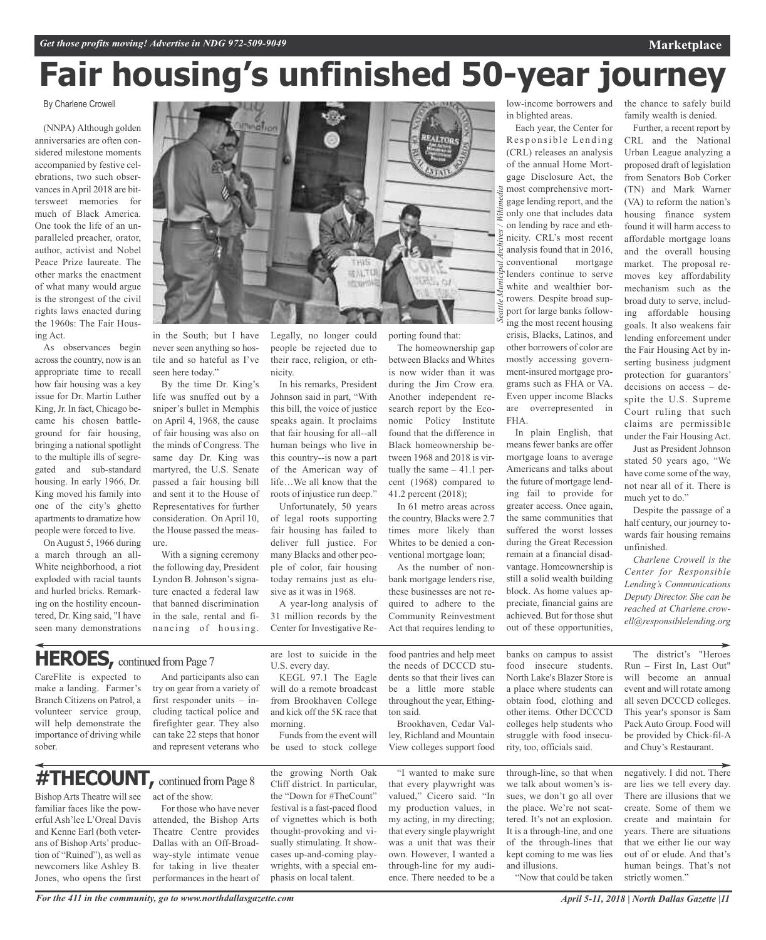the chance to safely build family wealth is denied. Further, a recent report by

# **Fair housing's unfinished 50-year journey**

## By Charlene Crowell

(NNPA) Although golden anniversaries are often considered milestone moments accompanied by festive celebrations, two such observances in April 2018 are bittersweet memories for much of Black America. One took the life of an unparalleled preacher, orator, author, activist and Nobel Peace Prize laureate. The other marks the enactment of what many would argue is the strongest of the civil rights laws enacted during the 1960s: The Fair Housing Act.

As observances begin acrossthe country, now is an appropriate time to recall how fair housing was a key issue for Dr. Martin Luther King, Jr. In fact, Chicago became his chosen battleground for fair housing, bringing a national spotlight to the multiple ills of segregated and sub-standard housing. In early 1966, Dr. King moved his family into one of the city's ghetto apartments to dramatize how people were forced to live.

On August 5, 1966 during a march through an all-White neighborhood, a riot exploded with racial taunts and hurled bricks. Remarking on the hostility encountered, Dr. King said, "I have seen many demonstrations

![](_page_10_Picture_7.jpeg)

in the South; but I have never seen anything so hostile and so hateful as I've seen here today."

By the time Dr. King's life was snuffed out by a sniper's bullet in Memphis on April 4, 1968, the cause of fair housing was also on the minds of Congress. The same day Dr. King was martyred, the U.S. Senate passed a fair housing bill and sent it to the House of Representatives for further consideration. On April 10, the House passed the measure.

With a signing ceremony the following day, President Lyndon B. Johnson's signature enacted a federal law that banned discrimination in the sale, rental and financing of housing.

Legally, no longer could people be rejected due to their race, religion, or ethnicity.

In his remarks, President Johnson said in part, "With this bill, the voice of justice speaks again. It proclaims that fair housing for all--all human beings who live in this country--is now a part of the American way of life…We all know that the roots of injustice run deep."

Unfortunately, 50 years of legal roots supporting fair housing has failed to deliver full justice. For many Blacks and other people of color, fair housing today remains just as elusive as it was in 1968.

A year-long analysis of 31 million records by the Center for Investigative Reporting found that:

The homeownership gap between Blacks and Whites is now wider than it was during the Jim Crow era. Another independent research report by the Economic Policy Institute found that the difference in Black homeownership between 1968 and 2018 is virtually the same – 41.1 percent (1968) compared to 41.2 percent (2018);

In 61 metro areas across the country, Blacks were 2.7 times more likely than Whites to be denied a conventional mortgage loan;

As the number of nonbank mortgage lenders rise, these businesses are not required to adhere to the Community Reinvestment Act that requires lending to

low-income borrowers and in blighted areas.

Each year, the Center for Responsible Lending (CRL) releases an analysis of the annual Home Mortgage Disclosure Act, the most comprehensive mortgage lending report, and the only one that includes data on lending by race and ethnicity. CRL's most recent analysis found that in 2016, conventional mortgage lenders continue to serve white and wealthier borrowers. Despite broad support for large banks following the most recent housing crisis, Blacks, Latinos, and other borrowers of color are mostly accessing government-insured mortgage programs such as FHA or VA. Even upper income Blacks are overrepresented in FHA.

In plain English, that means fewer banks are offer mortgage loans to average Americans and talks about the future of mortgage lending fail to provide for greater access. Once again, the same communities that suffered the worst losses during the Great Recession remain at a financial disadvantage. Homeownership is still a solid wealth building block. As home values appreciate, financial gains are achieved. But for those shut out of these opportunities,

CRL and the National Urban League analyzing a proposed draft of legislation from Senators Bob Corker (TN) and Mark Warner (VA) to reform the nation's housing finance system found it will harm access to affordable mortgage loans and the overall housing market. The proposal removes key affordability mechanism such as the broad duty to serve, including affordable housing goals. It also weakens fair lending enforcement under

the Fair Housing Act by inserting business judgment protection for guarantors' decisions on access – despite the U.S. Supreme Court ruling that such claims are permissible under the Fair Housing Act.

Just as President Johnson stated 50 years ago, "We have come some of the way, not near all of it. There is much yet to do."

Despite the passage of a half century, our journey towards fair housing remains unfinished.

*Charlene Crowell is the Center for Responsible Lending's Communications Deputy Director. She can be reached at Charlene.crowell@responsiblelending.org*

## **HEROES**, continued from Page 7

**#THECOUNT,** continued fromPage <sup>8</sup>

CareFlite is expected to make a landing. Farmer's Branch Citizens on Patrol, a volunteer service group, will help demonstrate the importance of driving while sober.

Bishop Arts Theatre will see familiar faces like the powerful Ash'lee L'Oreal Davis and Kenne Earl (both veterans of Bishop Arts' production of "Ruined"), as well as newcomers like Ashley B. Jones, who opens the first

And participants also can try on gear from a variety of first responder units – including tactical police and firefighter gear. They also can take 22 steps that honor and represent veterans who

For those who have never attended, the Bishop Arts Theatre Centre provides Dallas with an Off-Broadway-style intimate venue for taking in live theater performances in the heart of are lost to suicide in the U.S. every day. KEGL 97.1 The Eagle

will do a remote broadcast from Brookhaven College and kick off the 5K race that morning.

Funds from the event will be used to stock college

the growing North Oak Cliff district. In particular, the "Down for #TheCount" festival is a fast-paced flood of vignettes which is both thought-provoking and visually stimulating. It showcases up-and-coming playwrights, with a special emphasis on local talent.

food pantries and help meet the needs of DCCCD students so that their lives can be a little more stable throughout the year, Ethington said.

Brookhaven, Cedar Valley, Richland and Mountain View colleges support food

"I wanted to make sure that every playwright was valued," Cicero said. "In my production values, in my acting, in my directing; that every single playwright was a unit that was their own. However, I wanted a through-line for my audience. There needed to be a

banks on campus to assist food insecure students. North Lake's Blazer Store is a place where students can obtain food, clothing and other items. Other DCCCD colleges help students who struggle with food insecurity, too, officials said.

through-line, so that when we talk about women's issues, we don't go all over the place. We're not scattered. It's not an explosion. It is a through-line, and one of the through-lines that kept coming to me was lies and illusions.

"Now that could be taken

The district's "Heroes Run – First In, Last Out" will become an annual event and will rotate among all seven DCCCD colleges. This year's sponsor is Sam Pack Auto Group. Food will be provided by Chick-fil-A

negatively. I did not. There are lies we tell every day. There are illusions that we create. Some of them we create and maintain for years. There are situations that we either lie our way out of or elude. And that's human beings. That's not strictly women."

and Chuy's Restaurant.

*For the 411 in the community, go to www.northdallasgazette.com*

act of the show.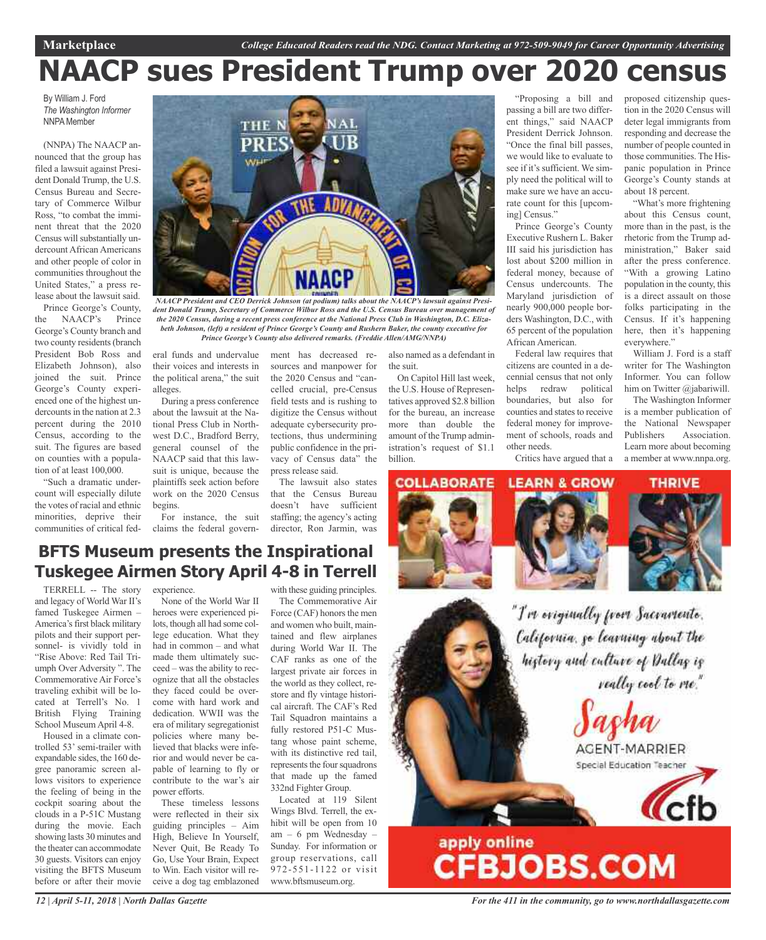# **NAACP sues President Trump over 2020 census**

By William J. Ford *The Washington Informer* **NNPA** Member

(NNPA) The NAACP announced that the group has filed a lawsuit against President Donald Trump, the U.S. Census Bureau and Secretary of Commerce Wilbur Ross, "to combat the imminent threat that the 2020 Census will substantially undercount African Americans and other people of color in communities throughout the United States," a press release about the lawsuit said.

Prince George's County, the NAACP's Prince George's County branch and two county residents (branch President Bob Ross and Elizabeth Johnson), also joined the suit. Prince George's County experienced one of the highest undercounts in the nation at 2.3 percent during the 2010 Census, according to the suit. The figures are based on counties with a population of at least 100,000.

"Such a dramatic undercount will especially dilute the votes of racial and ethnic minorities, deprive their communities of critical fed-

![](_page_11_Picture_7.jpeg)

*NAACP President and CEO Derrick Johnson (at podium) talks about the NAACP's lawsuit against President Donald Trump, Secretary of Commerce Wilbur Ross and the U.S. Census Bureau over management of the 2020 Census, during a recent press conference at the National Press Club in Washington, D.C. Elizabeth Johnson, (left) a resident of Prince George's County and Rushern Baker, the county executive for Prince George's County also delivered remarks. (Freddie Allen/AMG/NNPA)*

eral funds and undervalue ment has decreased retheir voices and interests in the political arena," the suit alleges.

During a press conference about the lawsuit at the National Press Club in Northwest D.C., Bradford Berry, general counsel of the NAACP said that this lawsuit is unique, because the plaintiffs seek action before work on the 2020 Census begins.

For instance, the suit claims the federal govern-

sources and manpower for the 2020 Census and "cancelled crucial, pre-Census field tests and is rushing to digitize the Census without adequate cybersecurity protections, thus undermining public confidence in the privacy of Census data" the press release said.

The lawsuit also states that the Census Bureau doesn't have sufficient staffing; the agency's acting director, Ron Jarmin, was also named as a defendant in the suit.

On Capitol Hill last week, the U.S. House of Representatives approved \$2.8 billion for the bureau, an increase more than double the amount of the Trump administration's request of \$1.1 billion.

"Proposing a bill and passing a bill are two different things," said NAACP President Derrick Johnson. "Once the final bill passes, we would like to evaluate to see if it's sufficient. We simply need the political will to make sure we have an accurate count for this [upcoming] Census."

Prince George's County Executive Rushern L. Baker III said his jurisdiction has lost about \$200 million in federal money, because of Census undercounts. The Maryland jurisdiction of nearly 900,000 people borders Washington, D.C., with 65 percent of the population African American.

Federal law requires that citizens are counted in a decennial census that not only helps redraw political boundaries, but also for counties and states to receive federal money for improvement of schools, roads and other needs.

him on Twitter @jabariwill. The Washington Informer

everywhere."

is a member publication of the National Newspaper Publishers Association. Learn more about becoming a member at www.nnpa.org.

William J. Ford is a staff writer for The Washington Informer. You can follow

proposed citizenship question in the 2020 Census will deter legal immigrants from responding and decrease the number of people counted in those communities. The Hispanic population in Prince George's County stands at

"What's more frightening about this Census count, more than in the past, is the rhetoric from the Trump administration," Baker said after the press conference. "With a growing Latino population in the county, this is a direct assault on those folks participating in the Census. If it's happening here, then it's happening

about 18 percent.

Critics have argued that a

### **COLLABORATE LEARN & GROW**

![](_page_11_Picture_23.jpeg)

![](_page_11_Picture_24.jpeg)

![](_page_11_Picture_25.jpeg)

"I've eviginally from Sacramente. California, go learning about the history and culture of Dallag is really cool to me."

AGENT-MARRIER Special Education Teacher

**Cfb** 

## **BFTS Museum presents the Inspirational Tuskegee Airmen Story April 4-8 in Terrell**

TERRELL -- The story and legacy of World War II's famed Tuskegee Airmen – America's first black military pilots and their support personnel- is vividly told in "Rise Above: Red Tail Triumph Over Adversity ". The Commemorative Air Force's traveling exhibit will be located at Terrell's No. 1 British Flying Training School Museum April 4-8.

Housed in a climate controlled 53' semi-trailer with expandable sides, the 160 degree panoramic screen allows visitors to experience the feeling of being in the cockpit soaring about the clouds in a P-51C Mustang during the movie. Each showing lasts 30 minutes and the theater can accommodate 30 guests. Visitors can enjoy visiting the BFTS Museum before or after their movie experience.

None of the World War II heroes were experienced pilots, though all had some college education. What they had in common – and what made them ultimately succeed – was the ability to recognize that all the obstacles they faced could be overcome with hard work and dedication. WWII was the era of military segregationist policies where many believed that blacks were inferior and would never be capable of learning to fly or contribute to the war's air power efforts.

These timeless lessons were reflected in their six guiding principles – Aim High, Believe In Yourself, Never Quit, Be Ready To Go, Use Your Brain, Expect to Win. Each visitor will receive a dog tag emblazoned

with these guiding principles. The Commemorative Air Force (CAF) honors the men and women who built, maintained and flew airplanes during World War II. The CAF ranks as one of the largest private air forces in the world as they collect, restore and fly vintage historical aircraft. The CAF's Red Tail Squadron maintains a fully restored P51-C Mustang whose paint scheme, with its distinctive red tail, represents the four squadrons that made up the famed 332nd Fighter Group.

Located at 119 Silent Wings Blvd. Terrell, the exhibit will be open from 10 am – 6 pm Wednesday – Sunday. For information or group reservations, call 972-551-1122 or visit www.bftsmuseum.org.

*For the 411 in the community, go to www.northdallasgazette.com*

apply online<br>CFBJOBS.COM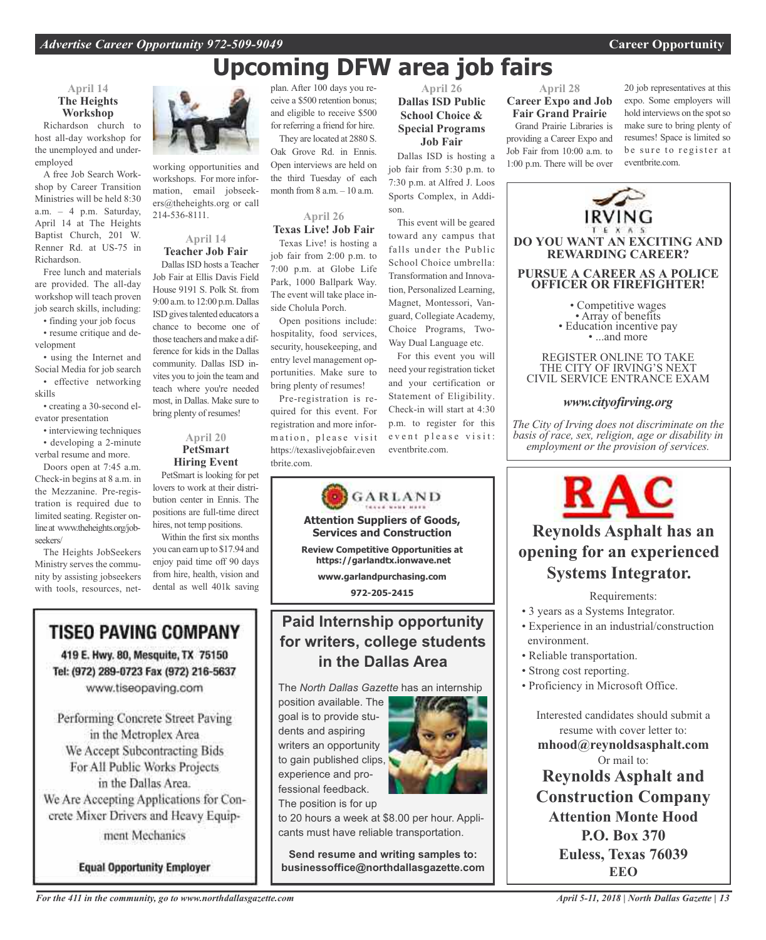## **Upcoming DFW area job fairs**

## **April 14 The Heights Workshop**

Richardson church to host all-day workshop for the unemployed and underemployed

A free Job Search Workshop by Career Transition Ministries will be held 8:30 a.m. – 4 p.m. Saturday, April 14 at The Heights Baptist Church, 201 W. Renner Rd. at US-75 in Richardson.

Free lunch and materials are provided. The all-day workshop will teach proven job search skills, including:

• finding your job focus • resume critique and development

• using the Internet and Social Media for job search • effective networking skills

• creating a 30-second elevator presentation

• interviewing techniques • developing a 2-minute

verbal resume and more. Doors open at 7:45 a.m.

Check-in begins at 8 a.m. in the Mezzanine. Pre-registration is required due to limited seating. Register onlineat www.theheights.org/jobseekers/

The Heights JobSeekers Ministry serves the community by assisting jobseekers with tools, resources, net-

working opportunities and workshops. For more information, email jobseekers@theheights.org or call 214-536-8111.

## **April 14 Teacher Job Fair**

Dallas ISD hosts a Teacher Job Fair at Ellis Davis Field House 9191 S. Polk St. from 9:00 a.m. to 12:00 p.m. Dallas ISD gives talented educators a chance to become one of those teachers and make a difference for kids in the Dallas community. Dallas ISD invites you to join the team and teach where you're needed most, in Dallas. Make sure to bring plenty of resumes!

## **April 20 PetSmart Hiring Event**

PetSmart is looking for pet lovers to work at their distribution center in Ennis. The positions are full-time direct hires, not temp positions.

Within the first six months you can earn up to \$17.94 and enjoy paid time off 90 days from hire, health, vision and dental as well 401k saving

## **TISEO PAVING COMPANY**

419 E. Hwy. 80, Mesquite, TX 75150 Tel: (972) 289-0723 Fax (972) 216-5637 www.tiseopaving.com

Performing Concrete Street Paving in the Metroplex Area We Accept Subcontracting Bids For All Public Works Projects in the Dallas Area. We Are Accepting Applications for Concrete Mixer Drivers and Heavy Equipment Mechanics

**Equal Opportunity Employer** 

plan. After 100 days you receive a \$500 retention bonus; and eligible to receive \$500 for referring a friend for hire. They are located at 2880 S.

Oak Grove Rd. in Ennis. Open interviews are held on the third Tuesday of each month from 8 a.m. – 10 a.m.

**April 26 Texas Live! Job Fair**

Texas Live! is hosting a job fair from 2:00 p.m. to 7:00 p.m. at Globe Life Park, 1000 Ballpark Way. The event will take place inside Cholula Porch.

Open positions include: hospitality, food services, security, housekeeping, and entry level management opportunities. Make sure to bring plenty of resumes!

Pre-registration is required for this event. For registration and more information, please visit https://texaslivejobfair.even tbrite.com.

![](_page_12_Picture_31.jpeg)

## **Paid Internship opportunity for writers, college students in the Dallas Area**

The *North Dallas Gazette* has an internship

position available. The goal is to provide students and aspiring writers an opportunity to gain published clips, experience and professional feedback. The position is for up

![](_page_12_Picture_35.jpeg)

to 20 hours a week at \$8.00 per hour. Applicants must have reliable transportation.

**Send resume and writing samples to: businessoffice@northdallasgazette.com**

## **April 26 Dallas ISD Public School Choice & Special Programs Job Fair**

Dallas ISD is hosting a job fair from 5:30 p.m. to 7:30 p.m. at Alfred J. Loos Sports Complex, in Addison.

This event will be geared toward any campus that falls under the Public School Choice umbrella: Transformation and Innovation, Personalized Learning, Magnet, Montessori, Vanguard, Collegiate Academy, Choice Programs, Two-Way Dual Language etc.

For this event you will need your registration ticket and your certification or Statement of Eligibility. Check-in will start at 4:30 p.m. to register for this event please visit: eventbrite.com.

### **April 28 Career Expo and Job Fair Grand Prairie**

Grand Prairie Libraries is providing a Career Expo and Job Fair from 10:00 a.m. to 1:00 p.m. There will be over

20 job representatives at this expo. Some employers will hold interviews on the spot so make sure to bring plenty of resumes! Space is limited so be sure to register at eventbrite.com.

![](_page_12_Picture_45.jpeg)

## THE CITY OF IRVING'S NEXT CIVIL SERVICE ENTRANCE EXAM

## *www.cityofirving.org*

*The City of Irving does not discriminate on the basis of race, sex, religion, age or disability in employment or the provision of services.*

![](_page_12_Picture_49.jpeg)

## **Reynolds Asphalt has an opening for an experienced Systems Integrator.**

## Requirements:

- 3 years as a Systems Integrator.
- Experience in an industrial/construction environment.
- Reliable transportation.
- Strong cost reporting.
- Proficiency in Microsoft Office.

Interested candidates should submit a resume with cover letter to: **mhood@reynoldsasphalt.com** Or mail to: **Reynolds Asphalt and Construction Company Attention Monte Hood P.O. Box 370 Euless, Texas 76039 EEO**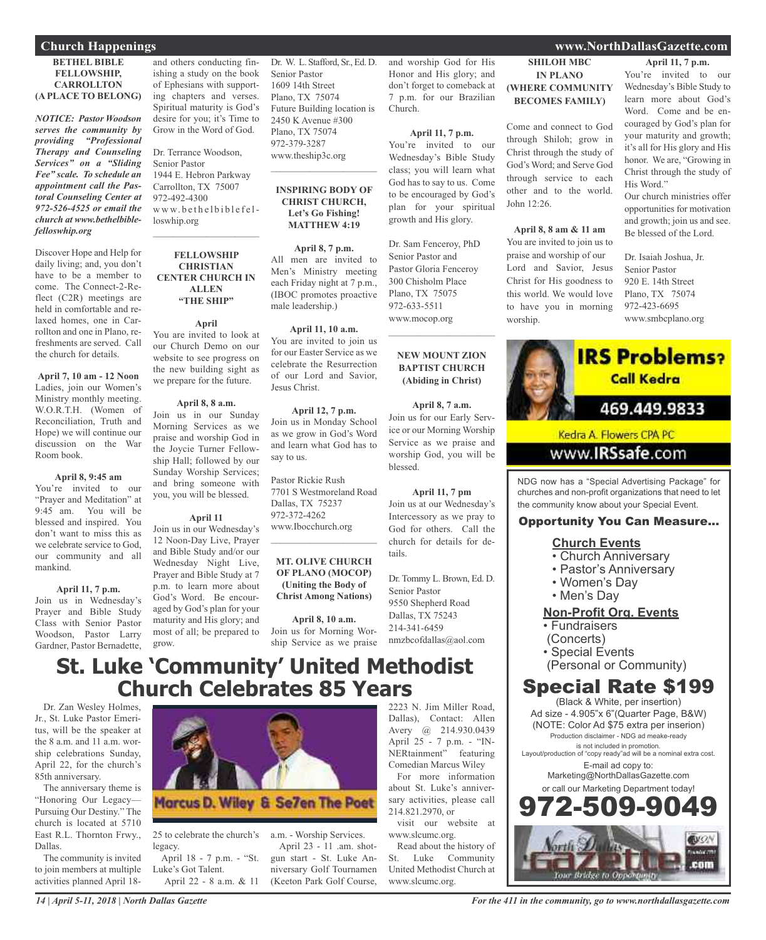### **BETHEL BIBLE FELLOWSHIP, CARROLLTON (A PLACE TO BELONG)**

*NOTICE: Pastor Woodson serves the community by providing "Professional Therapy and Counseling Services" on a "Sliding Fee" scale. To schedule an appointment call the Pastoral Counseling Center at 972-526-4525 or email the church at www.bethelbiblefelloswhip.org*

Discover Hope and Help for daily living; and, you don't have to be a member to come. The Connect-2-Reflect (C2R) meetings are held in comfortable and relaxed homes, one in Carrollton and one in Plano, refreshments are served. Call the church for details.

**April 7, 10 am - 12 Noon** Ladies, join our Women's Ministry monthly meeting. W.O.R.T.H. (Women of Reconciliation, Truth and Hope) we will continue our discussion on the War Room book.

## **April 8, 9:45 am**

You're invited to our "Prayer and Meditation" at 9:45 am. You will be blessed and inspired. You don't want to miss this as we celebrate service to God, our community and all mankind.

## **April 11, 7 p.m.**

Join us in Wednesday's Prayer and Bible Study Class with Senior Pastor Woodson, Pastor Larry Gardner, Pastor Bernadette,

and others conducting finishing a study on the book of Ephesians with supporting chapters and verses. Spiritual maturity is God's desire for you; it's Time to Grow in the Word of God.

Dr. Terrance Woodson, Senior Pastor 1944 E. Hebron Parkway Carrollton, TX 75007 972-492-4300 www.bethelbiblefelloswhip.org

### **FELLOWSHIP CHRISTIAN CENTER CHURCH IN ALLEN "THE SHIP"**

 $\mathcal{L}_\text{max}$  and  $\mathcal{L}_\text{max}$  and  $\mathcal{L}_\text{max}$ 

**April** You are invited to look at our Church Demo on our website to see progress on the new building sight as we prepare for the future.

## **April 8, 8 a.m.**

Join us in our Sunday Morning Services as we praise and worship God in the Joycie Turner Fellowship Hall; followed by our Sunday Worship Services; and bring someone with you, you will be blessed.

## **April 11**

Join us in our Wednesday's 12 Noon-Day Live, Prayer and Bible Study and/or our Wednesday Night Live, Prayer and Bible Study at 7 p.m. to learn more about God's Word. Be encouraged by God's plan for your maturity and His glory; and most of all; be prepared to grow.

Dr. W. L. Stafford, Sr., Ed. D. Senior Pastor 1609 14th Street Plano, TX 75074 Future Building location is 2450 K Avenue #300 Plano, TX 75074 972-379-3287 www.theship3c.org

### **INSPIRING BODY OF CHRIST CHURCH, Let's Go Fishing! MATTHEW 4:19**

 $\overline{\phantom{a}}$  , which is a set of the set of the set of the set of the set of the set of the set of the set of the set of the set of the set of the set of the set of the set of the set of the set of the set of the set of th

**April 8, 7 p.m.** All men are invited to Men's Ministry meeting each Friday night at 7 p.m., (IBOC promotes proactive male leadership.)

### **April 11, 10 a.m.**

You are invited to join us for our Easter Service as we celebrate the Resurrection of our Lord and Savior, Jesus Christ.

**April 12, 7 p.m.** Join us in Monday School as we grow in God's Word and learn what God has to say to us.

Pastor Rickie Rush 7701 S Westmoreland Road Dallas, TX 75237 972-372-4262 www.Ibocchurch.org

### **MT. OLIVE CHURCH OF PLANO (MOCOP) (Uniting the Body of Christ Among Nations)**

 $\overline{\phantom{a}}$  , which is a set of the set of the set of the set of the set of the set of the set of the set of the set of the set of the set of the set of the set of the set of the set of the set of the set of the set of th

**April 8, 10 a.m.** Join us for Morning Worship Service as we praise and worship God for His Honor and His glory; and don't forget to comeback at 7 p.m. for our Brazilian Church.

**April 11, 7 p.m.** You're invited to our Wednesday's Bible Study class; you will learn what God has to say to us. Come to be encouraged by God's plan for your spiritual growth and His glory.

Dr. Sam Fenceroy, PhD Senior Pastor and Pastor Gloria Fenceroy 300 Chisholm Place Plano, TX 75075 972-633-5511 www.mocop.org

**NEW MOUNT ZION BAPTIST CHURCH (Abiding in Christ)**

 $\mathcal{L}_\mathcal{L}$  , where  $\mathcal{L}_\mathcal{L}$  is the set of the set of the set of the set of the set of the set of the set of the set of the set of the set of the set of the set of the set of the set of the set of the set of the

**April 8, 7 a.m.** Join us for our Early Service or our Morning Worship Service as we praise and worship God, you will be blessed.

## **April 11, 7 pm**

Join us at our Wednesday's Intercessory as we pray to God for others. Call the church for details for details.

Dr. Tommy L. Brown, Ed. D. Senior Pastor 9550 Shepherd Road Dallas, TX 75243 214-341-6459 nmzbcofdallas@aol.com

## **St. Luke 'Community' United Methodist Church Celebrates 85 Years**

Dr. Zan Wesley Holmes, Jr., St. Luke Pastor Emeritus, will be the speaker at the 8 a.m. and 11 a.m. worship celebrations Sunday, April 22, for the church's 85th anniversary.

The anniversary theme is "Honoring Our Legacy— Pursuing Our Destiny." The church is located at 5710 East R.L. Thornton Frwy., Dallas.

The community is invited to join members at multiple activities planned April 18-

![](_page_13_Picture_38.jpeg)

25 to celebrate the church's legacy.

April 18 - 7 p.m. - "St. Luke's Got Talent. April 22 - 8 a.m. & 11 a.m. - Worship Services. April 23 - 11 .am. shotgun start - St. Luke Anniversary Golf Tournamen (Keeton Park Golf Course,

2223 N. Jim Miller Road, Dallas), Contact: Allen Avery @ 214.930.0439 April 25 - 7 p.m. - "IN-NERtainment" featuring Comedian Marcus Wiley

For more information about St. Luke's anniversary activities, please call 214.821.2970, or

visit our website at www.slcumc.org.

Read about the history of St. Luke Community United Methodist Church at www.slcumc.org.

## **Church Happenings www.NorthDallasGazette.com**

**SHILOH MBC IN PLANO (WHERE COMMUNITY BECOMES FAMILY)**

Come and connect to God through Shiloh; grow in Christ through the study of God's Word; and Serve God through service to each other and to the world.

**April 8, 8 am & 11 am** You are invited to join us to praise and worship of our Lord and Savior, Jesus Christ for His goodness to this world. We would love to have you in morning

John 12:26.

worship.

**April 11, 7 p.m.**

You're invited to our Wednesday's Bible Study to learn more about God's Word. Come and be encouraged by God's plan for your maturity and growth; it's all for His glory and His honor. We are, "Growing in Christ through the study of His Word."

Our church ministries offer opportunities for motivation and growth; join us and see. Be blessed of the Lord.

Dr. Isaiah Joshua, Jr. Senior Pastor 920 E. 14th Street Plano, TX 75074 972-423-6695 www.smbcplano.org

![](_page_13_Picture_51.jpeg)

churches and non-profit organizations that need to let the community know about your Special Event.

## Opportunity You Can Measure...

## **Church Events**

- Church Anniversary
- Pastor's Anniversary
- Women's Day
- Men's Day

## **Non-Profit Org. Events**

• Fundraisers

- (Concerts)
- Special Events
- (Personal or Community)

## Special Rate \$199

(Black & White, per insertion) Ad size - 4.905"x 6"(Quarter Page, B&W) (NOTE: Color Ad \$75 extra per inserion) Production disclaimer - NDG ad meake-ready is not included in promotion.

Layout/production of "copy ready"ad will be a nominal extra cost. E-mail ad copy to:

Marketing@NorthDallasGazette.com or call our Marketing Department today!

![](_page_13_Picture_68.jpeg)

## *For the 411 in the community, go to www.northdallasgazette.com*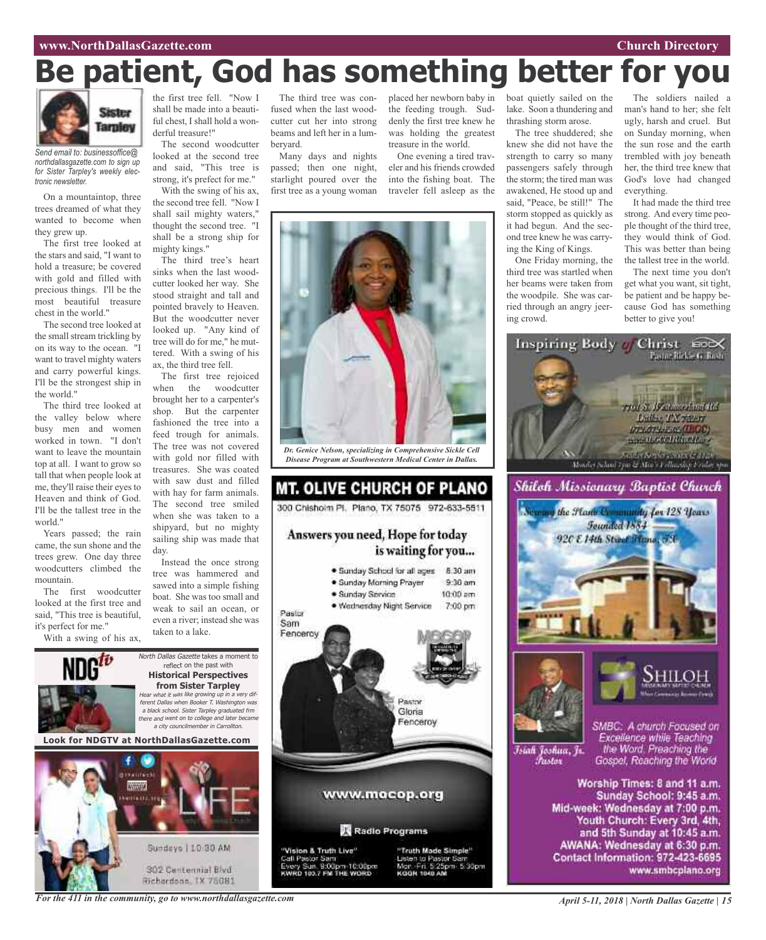## **www.NorthDallasGazette.com Church Directory**

# **Be patient, God has something better for you**

![](_page_14_Picture_2.jpeg)

*Send email to: businessoffice@ northdallasgazette.com to sign up for Sister Tarpley's weekly electronic newsletter.*

On a mountaintop, three trees dreamed of what they wanted to become when they grew up.

The first tree looked at the stars and said, "I want to hold a treasure; be covered with gold and filled with precious things. I'll be the most beautiful treasure chest in the world."

The second tree looked at the small stream trickling by on its way to the ocean. "I want to travel mighty waters and carry powerful kings. I'll be the strongest ship in the world."

The third tree looked at the valley below where busy men and women worked in town. "I don't want to leave the mountain top at all. I want to grow so tall that when people look at me, they'll raise their eyes to Heaven and think of God. I'll be the tallest tree in the world."

Years passed; the rain came, the sun shone and the trees grew. One day three woodcutters climbed the mountain.

The first woodcutter looked at the first tree and said, "This tree is beautiful, it's perfect for me."

With a swing of his ax,

the first tree fell. "Now I shall be made into a beautiful chest, I shall hold a wonderful treasure!"

The second woodcutter looked at the second tree and said, "This tree is strong, it's prefect for me."

With the swing of his ax, the second tree fell. "Now I shall sail mighty waters," thought the second tree. "I shall be a strong ship for mighty kings."

The third tree's heart sinks when the last woodcutter looked her way. She stood straight and tall and pointed bravely to Heaven. But the woodcutter never looked up. "Any kind of tree will do for me," he muttered. With a swing of his ax, the third tree fell.

The first tree rejoiced when the woodcutter brought her to a carpenter's shop. But the carpenter fashioned the tree into a feed trough for animals. The tree was not covered with gold nor filled with treasures. She was coated with saw dust and filled with hay for farm animals. The second tree smiled when she was taken to a shipyard, but no mighty sailing ship was made that day.

Instead the once strong tree was hammered and sawed into a simple fishing boat. She was too small and weak to sail an ocean, or even a river; instead she was taken to a lake.

North Dallas Gazette takes a moment to reflect on the past with **Historical Perspectives from Sister Tarpley** Hear what it was like growing up in <sup>a</sup> very different Dallas when Booker T. Washington was <sup>a</sup> black school. Sister Tarpley graduated frm there and went on to college and later became <sup>a</sup> city councilmember in Carrollton.

**Look for NDGTV at NorthDallasGazette.com**

![](_page_14_Picture_19.jpeg)

The third tree was confused when the last woodcutter cut her into strong beams and left her in a lumberyard.

Many days and nights passed; then one night, starlight poured over the first tree as a young woman

the feeding trough. Suddenly the first tree knew he was holding the greatest treasure in the world.

One evening a tired traveler and his friends crowded into the fishing boat. The traveler fell asleep as the

![](_page_14_Picture_24.jpeg)

*Disease Program at Southwestern Medical Center in Dallas.*

![](_page_14_Picture_26.jpeg)

placed her newborn baby in boat quietly sailed on the lake. Soon a thundering and thrashing storm arose.

The tree shuddered; she knew she did not have the strength to carry so many passengers safely through the storm; the tired man was awakened, He stood up and said, "Peace, be still!" The storm stopped as quickly as it had begun. And the second tree knew he was carrying the King of Kings.

One Friday morning, the third tree was startled when her beams were taken from the woodpile. She was carried through an angry jeering crowd.

The soldiers nailed a man's hand to her; she felt ugly, harsh and cruel. But on Sunday morning, when the sun rose and the earth trembled with joy beneath her, the third tree knew that God's love had changed everything.

It had made the third tree strong. And every time people thought of the third tree, they would think of God. This was better than being the tallest tree in the world.

The next time you don't get what you want, sit tight, be patient and be happy because God has something better to give you!

![](_page_14_Picture_33.jpeg)

Īsiah Joshua, Jr. Fustor

SMBC: A church Focused on Excellence while Teaching the Word. Preaching the Gospel, Reaching the World

Worship Times: 8 and 11 a.m. Sunday School: 9:45 a.m. Mid-week: Wednesday at 7:00 p.m. Youth Church: Every 3rd, 4th, and 5th Sunday at 10:45 a.m. AWANA: Wednesday at 6:30 p.m. Contact Information: 972-423-6695 www.smbcplano.org

*For the 411 in the community, go to www.northdallasgazette.com*